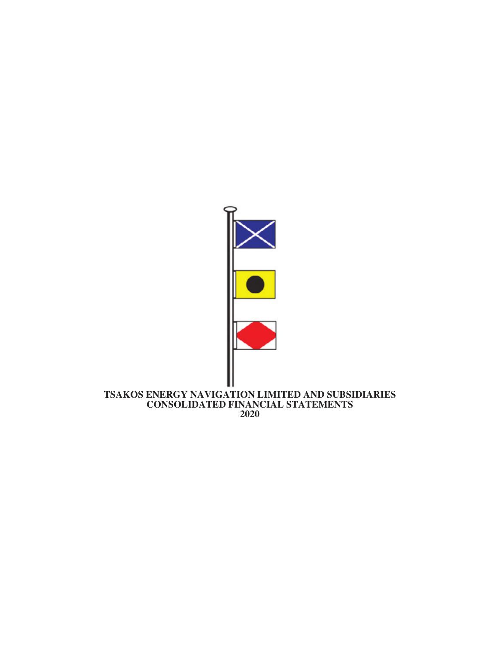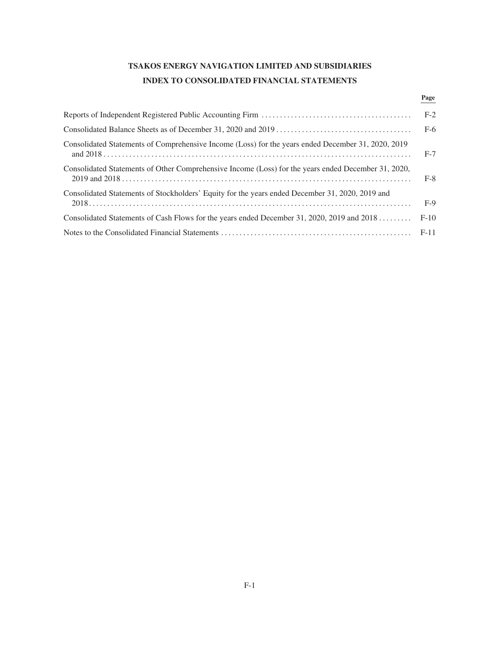# **TSAKOS ENERGY NAVIGATION LIMITED AND SUBSIDIARIES INDEX TO CONSOLIDATED FINANCIAL STATEMENTS**

**Page**

|                                                                                                     | $F-2$  |
|-----------------------------------------------------------------------------------------------------|--------|
|                                                                                                     | $F-6$  |
| Consolidated Statements of Comprehensive Income (Loss) for the years ended December 31, 2020, 2019  | $F-7$  |
| Consolidated Statements of Other Comprehensive Income (Loss) for the years ended December 31, 2020, | $F-8$  |
| Consolidated Statements of Stockholders' Equity for the years ended December 31, 2020, 2019 and     | $F-9$  |
| Consolidated Statements of Cash Flows for the years ended December 31, 2020, 2019 and 2018          | $F-10$ |
|                                                                                                     |        |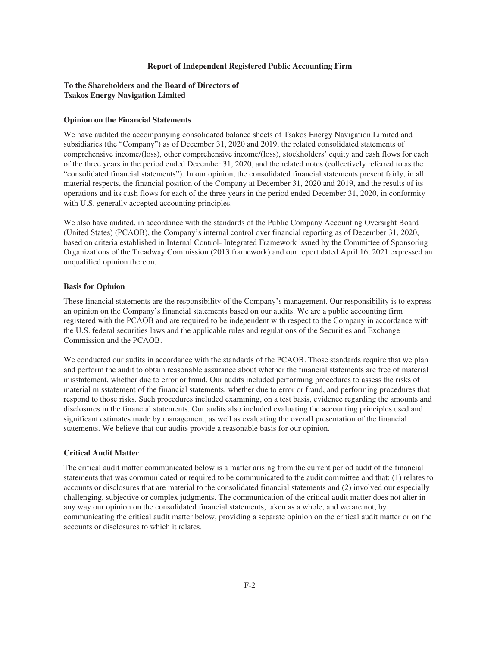#### **Report of Independent Registered Public Accounting Firm**

#### **To the Shareholders and the Board of Directors of Tsakos Energy Navigation Limited**

#### **Opinion on the Financial Statements**

We have audited the accompanying consolidated balance sheets of Tsakos Energy Navigation Limited and subsidiaries (the "Company") as of December 31, 2020 and 2019, the related consolidated statements of comprehensive income/(loss), other comprehensive income/(loss), stockholders' equity and cash flows for each of the three years in the period ended December 31, 2020, and the related notes (collectively referred to as the "consolidated financial statements"). In our opinion, the consolidated financial statements present fairly, in all material respects, the financial position of the Company at December 31, 2020 and 2019, and the results of its operations and its cash flows for each of the three years in the period ended December 31, 2020, in conformity with U.S. generally accepted accounting principles.

We also have audited, in accordance with the standards of the Public Company Accounting Oversight Board (United States) (PCAOB), the Company's internal control over financial reporting as of December 31, 2020, based on criteria established in Internal Control- Integrated Framework issued by the Committee of Sponsoring Organizations of the Treadway Commission (2013 framework) and our report dated April 16, 2021 expressed an unqualified opinion thereon.

#### **Basis for Opinion**

These financial statements are the responsibility of the Company's management. Our responsibility is to express an opinion on the Company's financial statements based on our audits. We are a public accounting firm registered with the PCAOB and are required to be independent with respect to the Company in accordance with the U.S. federal securities laws and the applicable rules and regulations of the Securities and Exchange Commission and the PCAOB.

We conducted our audits in accordance with the standards of the PCAOB. Those standards require that we plan and perform the audit to obtain reasonable assurance about whether the financial statements are free of material misstatement, whether due to error or fraud. Our audits included performing procedures to assess the risks of material misstatement of the financial statements, whether due to error or fraud, and performing procedures that respond to those risks. Such procedures included examining, on a test basis, evidence regarding the amounts and disclosures in the financial statements. Our audits also included evaluating the accounting principles used and significant estimates made by management, as well as evaluating the overall presentation of the financial statements. We believe that our audits provide a reasonable basis for our opinion.

#### **Critical Audit Matter**

The critical audit matter communicated below is a matter arising from the current period audit of the financial statements that was communicated or required to be communicated to the audit committee and that: (1) relates to accounts or disclosures that are material to the consolidated financial statements and (2) involved our especially challenging, subjective or complex judgments. The communication of the critical audit matter does not alter in any way our opinion on the consolidated financial statements, taken as a whole, and we are not, by communicating the critical audit matter below, providing a separate opinion on the critical audit matter or on the accounts or disclosures to which it relates.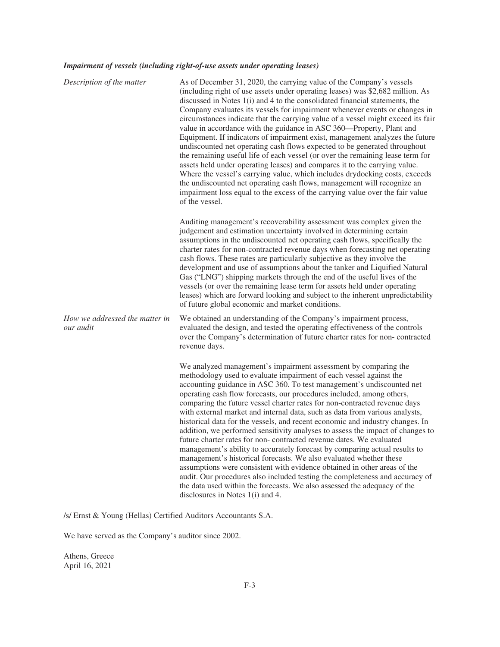# *Impairment of vessels (including right-of-use assets under operating leases)*

| Description of the matter                   | As of December 31, 2020, the carrying value of the Company's vessels<br>(including right of use assets under operating leases) was \$2,682 million. As<br>discussed in Notes 1(i) and 4 to the consolidated financial statements, the<br>Company evaluates its vessels for impairment whenever events or changes in<br>circumstances indicate that the carrying value of a vessel might exceed its fair<br>value in accordance with the guidance in ASC 360-Property, Plant and<br>Equipment. If indicators of impairment exist, management analyzes the future<br>undiscounted net operating cash flows expected to be generated throughout<br>the remaining useful life of each vessel (or over the remaining lease term for<br>assets held under operating leases) and compares it to the carrying value.<br>Where the vessel's carrying value, which includes drydocking costs, exceeds<br>the undiscounted net operating cash flows, management will recognize an<br>impairment loss equal to the excess of the carrying value over the fair value<br>of the vessel.                                                     |
|---------------------------------------------|-------------------------------------------------------------------------------------------------------------------------------------------------------------------------------------------------------------------------------------------------------------------------------------------------------------------------------------------------------------------------------------------------------------------------------------------------------------------------------------------------------------------------------------------------------------------------------------------------------------------------------------------------------------------------------------------------------------------------------------------------------------------------------------------------------------------------------------------------------------------------------------------------------------------------------------------------------------------------------------------------------------------------------------------------------------------------------------------------------------------------------|
|                                             | Auditing management's recoverability assessment was complex given the<br>judgement and estimation uncertainty involved in determining certain<br>assumptions in the undiscounted net operating cash flows, specifically the<br>charter rates for non-contracted revenue days when forecasting net operating<br>cash flows. These rates are particularly subjective as they involve the<br>development and use of assumptions about the tanker and Liquified Natural<br>Gas ("LNG") shipping markets through the end of the useful lives of the<br>vessels (or over the remaining lease term for assets held under operating<br>leases) which are forward looking and subject to the inherent unpredictability<br>of future global economic and market conditions.                                                                                                                                                                                                                                                                                                                                                             |
| How we addressed the matter in<br>our audit | We obtained an understanding of the Company's impairment process,<br>evaluated the design, and tested the operating effectiveness of the controls<br>over the Company's determination of future charter rates for non-contracted<br>revenue days.                                                                                                                                                                                                                                                                                                                                                                                                                                                                                                                                                                                                                                                                                                                                                                                                                                                                             |
|                                             | We analyzed management's impairment assessment by comparing the<br>methodology used to evaluate impairment of each vessel against the<br>accounting guidance in ASC 360. To test management's undiscounted net<br>operating cash flow forecasts, our procedures included, among others,<br>comparing the future vessel charter rates for non-contracted revenue days<br>with external market and internal data, such as data from various analysts,<br>historical data for the vessels, and recent economic and industry changes. In<br>addition, we performed sensitivity analyses to assess the impact of changes to<br>future charter rates for non-contracted revenue dates. We evaluated<br>management's ability to accurately forecast by comparing actual results to<br>management's historical forecasts. We also evaluated whether these<br>assumptions were consistent with evidence obtained in other areas of the<br>audit. Our procedures also included testing the completeness and accuracy of<br>the data used within the forecasts. We also assessed the adequacy of the<br>disclosures in Notes 1(i) and 4. |

/s/ Ernst & Young (Hellas) Certified Auditors Accountants S.A.

We have served as the Company's auditor since 2002.

Athens, Greece April 16, 2021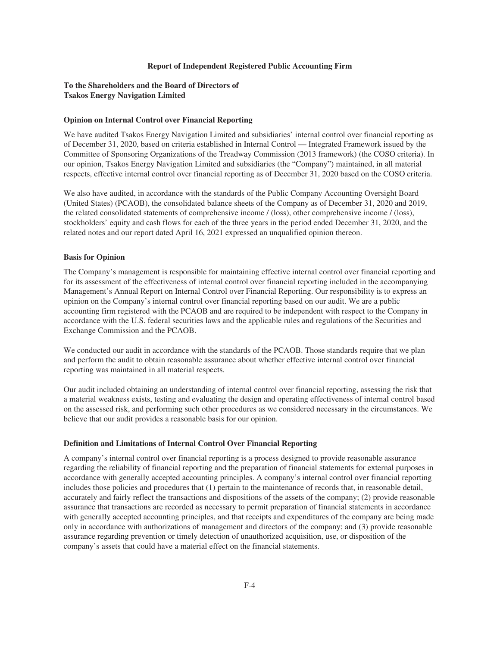#### **Report of Independent Registered Public Accounting Firm**

### **To the Shareholders and the Board of Directors of Tsakos Energy Navigation Limited**

#### **Opinion on Internal Control over Financial Reporting**

We have audited Tsakos Energy Navigation Limited and subsidiaries' internal control over financial reporting as of December 31, 2020, based on criteria established in Internal Control — Integrated Framework issued by the Committee of Sponsoring Organizations of the Treadway Commission (2013 framework) (the COSO criteria). In our opinion, Tsakos Energy Navigation Limited and subsidiaries (the "Company") maintained, in all material respects, effective internal control over financial reporting as of December 31, 2020 based on the COSO criteria.

We also have audited, in accordance with the standards of the Public Company Accounting Oversight Board (United States) (PCAOB), the consolidated balance sheets of the Company as of December 31, 2020 and 2019, the related consolidated statements of comprehensive income / (loss), other comprehensive income / (loss), stockholders' equity and cash flows for each of the three years in the period ended December 31, 2020, and the related notes and our report dated April 16, 2021 expressed an unqualified opinion thereon.

#### **Basis for Opinion**

The Company's management is responsible for maintaining effective internal control over financial reporting and for its assessment of the effectiveness of internal control over financial reporting included in the accompanying Management's Annual Report on Internal Control over Financial Reporting. Our responsibility is to express an opinion on the Company's internal control over financial reporting based on our audit. We are a public accounting firm registered with the PCAOB and are required to be independent with respect to the Company in accordance with the U.S. federal securities laws and the applicable rules and regulations of the Securities and Exchange Commission and the PCAOB.

We conducted our audit in accordance with the standards of the PCAOB. Those standards require that we plan and perform the audit to obtain reasonable assurance about whether effective internal control over financial reporting was maintained in all material respects.

Our audit included obtaining an understanding of internal control over financial reporting, assessing the risk that a material weakness exists, testing and evaluating the design and operating effectiveness of internal control based on the assessed risk, and performing such other procedures as we considered necessary in the circumstances. We believe that our audit provides a reasonable basis for our opinion.

#### **Definition and Limitations of Internal Control Over Financial Reporting**

A company's internal control over financial reporting is a process designed to provide reasonable assurance regarding the reliability of financial reporting and the preparation of financial statements for external purposes in accordance with generally accepted accounting principles. A company's internal control over financial reporting includes those policies and procedures that (1) pertain to the maintenance of records that, in reasonable detail, accurately and fairly reflect the transactions and dispositions of the assets of the company; (2) provide reasonable assurance that transactions are recorded as necessary to permit preparation of financial statements in accordance with generally accepted accounting principles, and that receipts and expenditures of the company are being made only in accordance with authorizations of management and directors of the company; and (3) provide reasonable assurance regarding prevention or timely detection of unauthorized acquisition, use, or disposition of the company's assets that could have a material effect on the financial statements.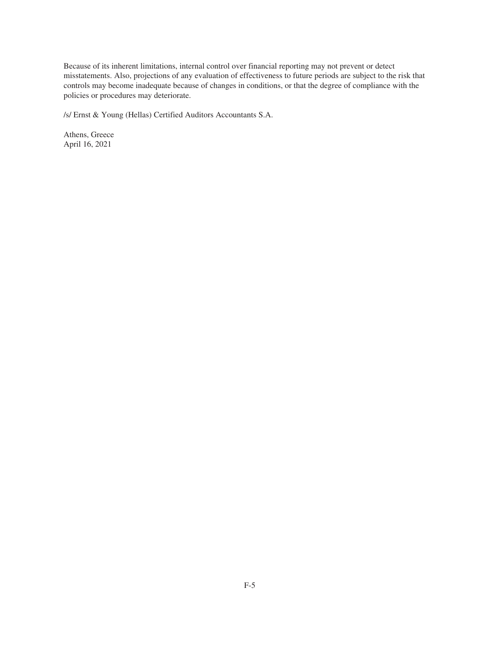Because of its inherent limitations, internal control over financial reporting may not prevent or detect misstatements. Also, projections of any evaluation of effectiveness to future periods are subject to the risk that controls may become inadequate because of changes in conditions, or that the degree of compliance with the policies or procedures may deteriorate.

/s/ Ernst & Young (Hellas) Certified Auditors Accountants S.A.

Athens, Greece April 16, 2021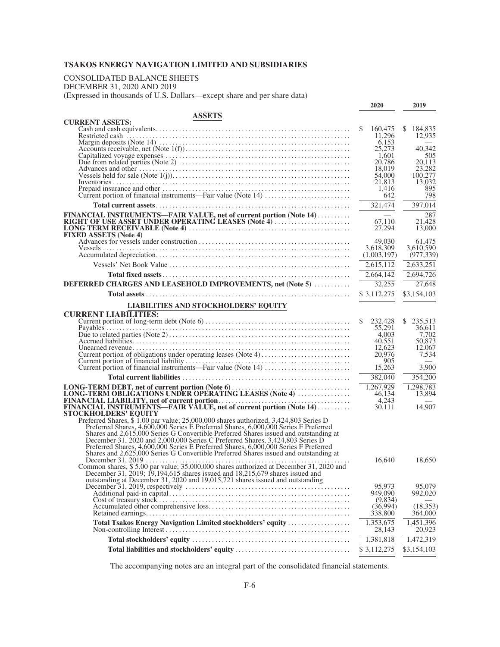#### CONSOLIDATED BALANCE SHEETS

DECEMBER 31, 2020 AND 2019

(Expressed in thousands of U.S. Dollars—except share and per share data)

|                                                                                                                                                                          | 2020                     | 2019                    |
|--------------------------------------------------------------------------------------------------------------------------------------------------------------------------|--------------------------|-------------------------|
| <b>ASSETS</b>                                                                                                                                                            |                          |                         |
| <b>CURRENT ASSETS:</b>                                                                                                                                                   |                          |                         |
|                                                                                                                                                                          | S<br>160,475<br>11,296   | \$184,835<br>12,935     |
|                                                                                                                                                                          | 6,153                    |                         |
|                                                                                                                                                                          | 25,273<br>1,601          | 40,342<br>505           |
|                                                                                                                                                                          | 20,786                   | 20,113                  |
|                                                                                                                                                                          | 18,019                   | 23.282                  |
|                                                                                                                                                                          | 54,000<br>21,813         | 100,277<br>13,032       |
|                                                                                                                                                                          | 1,416                    | 895                     |
|                                                                                                                                                                          | 642                      | 798                     |
|                                                                                                                                                                          | 321,474                  | 397,014                 |
| FINANCIAL INSTRUMENTS—FAIR VALUE, net of current portion (Note 14)<br>RIGHT OF USE ASSET UNDER OPERATING LEASES (Note 4)                                                 | 67.110                   | 287<br>21,428           |
|                                                                                                                                                                          | 27,294                   | 13,000                  |
| <b>FIXED ASSETS (Note 4)</b>                                                                                                                                             |                          |                         |
|                                                                                                                                                                          | 49,030<br>3,618,309      | 61,475<br>3,610,590     |
|                                                                                                                                                                          | (1,003,197)              | (977, 339)              |
|                                                                                                                                                                          | 2,615,112                | 2,633,251               |
|                                                                                                                                                                          | 2,664,142                | 2,694,726               |
| DEFERRED CHARGES AND LEASEHOLD IMPROVEMENTS, net (Note 5)                                                                                                                | 32,255                   | 27,648                  |
|                                                                                                                                                                          | \$3,112,275              | \$3,154,103             |
| <b>LIABILITIES AND STOCKHOLDERS' EQUITY</b>                                                                                                                              |                          |                         |
| <b>CURRENT LIABILITIES:</b>                                                                                                                                              |                          |                         |
|                                                                                                                                                                          | \$.<br>232,428<br>55,291 | \$<br>235,513<br>36.611 |
|                                                                                                                                                                          | 4.003                    | 7.702                   |
|                                                                                                                                                                          | 40,551                   | 50,873                  |
|                                                                                                                                                                          | 12,623<br>20,976         | 12,067<br>7,534         |
|                                                                                                                                                                          | 905                      |                         |
|                                                                                                                                                                          | 15,263                   | 3,900                   |
|                                                                                                                                                                          | 382,040                  | 354,200                 |
|                                                                                                                                                                          | 1,267,929<br>46.134      | 1,298,783<br>13,894     |
|                                                                                                                                                                          | 4,243                    |                         |
| FINANCIAL INSTRUMENTS—FAIR VALUE, net of current portion (Note 14)<br><b>STOCKHOLDERS' EQUITY</b>                                                                        | 30,111                   | 14,907                  |
| Preferred Shares, \$ 1.00 par value; 25,000,000 shares authorized, 3,424,803 Series D                                                                                    |                          |                         |
| Preferred Shares, 4,600,000 Series E Preferred Shares, 6,000,000 Series F Preferred                                                                                      |                          |                         |
| Shares and 2,615,000 Series G Convertible Preferred Shares issued and outstanding at<br>December 31, 2020 and 2,000,000 Series C Preferred Shares, 3,424,803 Series D    |                          |                         |
| Preferred Shares, 4,600,000 Series E Preferred Shares, 6,000,000 Series F Preferred Shares and 2,625,000 Series G Convertible Preferred Shares issued and outstanding at |                          |                         |
|                                                                                                                                                                          | 16.640                   |                         |
|                                                                                                                                                                          |                          | 18,650                  |
| December 31, 2019; 19, 194, 615 shares issued and 18, 215, 679 shares issued and                                                                                         |                          |                         |
| outstanding at December 31, 2020 and 19,015,721 shares issued and outstanding                                                                                            | 95,973                   | 95,079                  |
|                                                                                                                                                                          | 949,090                  | 992,020                 |
|                                                                                                                                                                          | (9,834)                  |                         |
|                                                                                                                                                                          | (36.994)<br>338,800      | (18.353)<br>364,000     |
| Total Tsakos Energy Navigation Limited stockholders' equity                                                                                                              | 1,353,675                | 1,451,396               |
|                                                                                                                                                                          | 28,143                   | 20,923                  |
|                                                                                                                                                                          | 1,381,818                | 1,472,319               |
|                                                                                                                                                                          | \$3,112,275              | \$3,154,103             |

The accompanying notes are an integral part of the consolidated financial statements.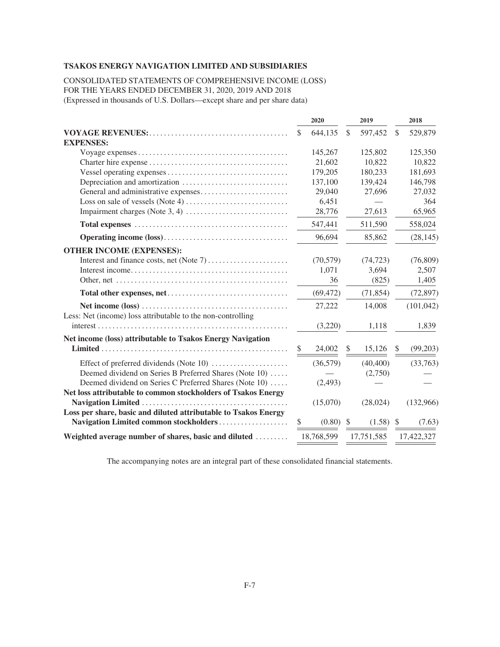CONSOLIDATED STATEMENTS OF COMPREHENSIVE INCOME (LOSS) FOR THE YEARS ENDED DECEMBER 31, 2020, 2019 AND 2018 (Expressed in thousands of U.S. Dollars—except share and per share data)

|                                                                                    |    | 2020       |    | 2019       |               | 2018       |
|------------------------------------------------------------------------------------|----|------------|----|------------|---------------|------------|
| <b>EXPENSES:</b>                                                                   | \$ | 644,135    | \$ | 597,452    | \$            | 529,879    |
|                                                                                    |    | 145,267    |    | 125,802    |               | 125,350    |
|                                                                                    |    | 21,602     |    | 10,822     |               | 10,822     |
|                                                                                    |    | 179,205    |    | 180,233    |               | 181,693    |
|                                                                                    |    | 137,100    |    | 139,424    |               | 146,798    |
|                                                                                    |    | 29,040     |    | 27,696     |               | 27,032     |
| Loss on sale of vessels (Note 4) $\dots \dots \dots \dots \dots \dots \dots \dots$ |    | 6,451      |    |            |               | 364        |
|                                                                                    |    | 28,776     |    | 27,613     |               | 65,965     |
|                                                                                    |    | 547,441    |    | 511,590    |               | 558,024    |
|                                                                                    |    | 96,694     |    | 85,862     |               | (28, 145)  |
| <b>OTHER INCOME (EXPENSES):</b>                                                    |    |            |    |            |               |            |
|                                                                                    |    | (70, 579)  |    | (74, 723)  |               | (76, 809)  |
|                                                                                    |    | 1,071      |    | 3,694      |               | 2,507      |
|                                                                                    |    | 36         |    | (825)      |               | 1,405      |
|                                                                                    |    | (69, 472)  |    | (71, 854)  |               | (72, 897)  |
| Less: Net (income) loss attributable to the non-controlling                        |    | 27,222     |    | 14,008     |               | (101, 042) |
|                                                                                    |    | (3,220)    |    | 1,118      |               | 1,839      |
| Net income (loss) attributable to Tsakos Energy Navigation                         |    |            |    |            |               |            |
|                                                                                    | S  | 24,002     | S  | 15,126     | \$            | (99,203)   |
|                                                                                    |    | (36,579)   |    | (40, 400)  |               | (33,763)   |
| Deemed dividend on Series B Preferred Shares (Note 10)                             |    |            |    | (2,750)    |               |            |
| Deemed dividend on Series C Preferred Shares (Note 10)                             |    | (2, 493)   |    |            |               |            |
| Net loss attributable to common stockholders of Tsakos Energy                      |    |            |    |            |               |            |
|                                                                                    |    | (15,070)   |    | (28,024)   |               | (132,966)  |
| Loss per share, basic and diluted attributable to Tsakos Energy                    |    |            |    |            |               |            |
| Navigation Limited common stockholders                                             | \$ | (0.80)     | \$ | (1.58)     | $\mathcal{S}$ | (7.63)     |
| Weighted average number of shares, basic and diluted                               |    | 18,768,599 |    | 17,751,585 |               | 17,422,327 |

The accompanying notes are an integral part of these consolidated financial statements.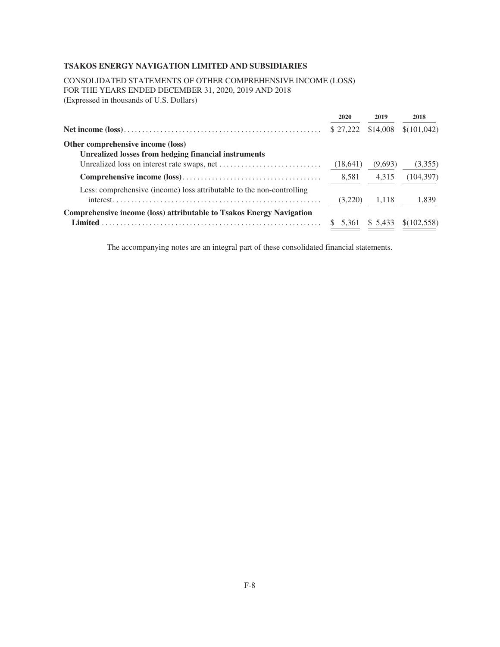CONSOLIDATED STATEMENTS OF OTHER COMPREHENSIVE INCOME (LOSS) FOR THE YEARS ENDED DECEMBER 31, 2020, 2019 AND 2018

(Expressed in thousands of U.S. Dollars)

|                                                                       | 2020     | 2019     | 2018         |
|-----------------------------------------------------------------------|----------|----------|--------------|
|                                                                       | \$27.222 | \$14,008 | \$(101,042)  |
| Other comprehensive income (loss)                                     |          |          |              |
| <b>Unrealized losses from hedging financial instruments</b>           |          |          |              |
|                                                                       | (18,641) | (9,693)  | (3,355)      |
|                                                                       | 8,581    | 4,315    | (104, 397)   |
| Less: comprehensive (income) loss attributable to the non-controlling | (3,220)  | 1,118    | 1,839        |
| Comprehensive income (loss) attributable to Tsakos Energy Navigation  | \$ 5.361 | \$5,433  | \$(102, 558) |

The accompanying notes are an integral part of these consolidated financial statements.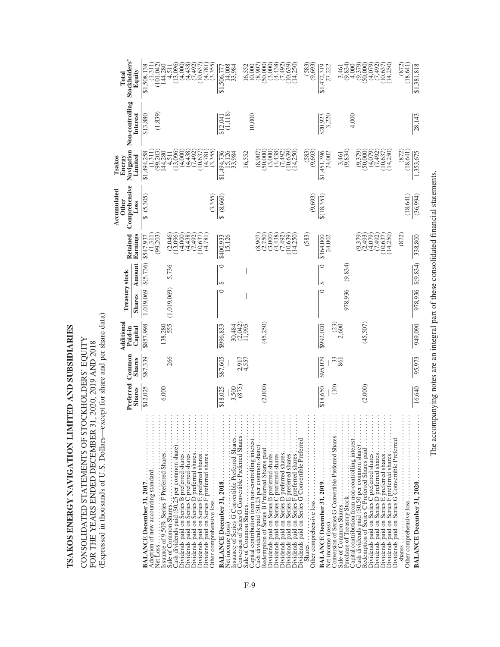| <br> <br>                        | 1                                  |  |
|----------------------------------|------------------------------------|--|
|                                  | í                                  |  |
|                                  |                                    |  |
|                                  |                                    |  |
| リー・メートー<br>-<br>-<br>-<br>-<br>- | l<br>١<br>ı<br>ı                   |  |
|                                  |                                    |  |
| ;                                | l                                  |  |
|                                  | - 1<br>- 1<br>- 1<br>- 1<br>I<br>ı |  |
|                                  |                                    |  |
| Ì<br>֖֚֚֚֚֚֚֚֕֝                  | í                                  |  |
|                                  |                                    |  |

CONSOLIDATED STATEMENTS OF STOCKHOLDERS' EQUITY<br>FOR THE YEARS ENDED DECEMBER 31, 2020, 2019 AND 2018<br>(Expressed in thousands of U.S. Dollars—except for share and per share data) (Expressed in thousands of U.S. Dollars—except for share and per share data) CONSOLIDATED STATEMENTS OF STOCKHOLDERS' EQUITY FOR THE YEARS ENDED DECEMBER 31, 2020, 2019 AND 2018

|                                                                                                                                                                                                                                                                                                                     |                            |                         | Additional          |                                                         |                                                | Accumulated<br><b>Other</b> | Energy<br>Tsakos                       |                             | Total                                      |
|---------------------------------------------------------------------------------------------------------------------------------------------------------------------------------------------------------------------------------------------------------------------------------------------------------------------|----------------------------|-------------------------|---------------------|---------------------------------------------------------|------------------------------------------------|-----------------------------|----------------------------------------|-----------------------------|--------------------------------------------|
|                                                                                                                                                                                                                                                                                                                     | Preferred<br><b>Shares</b> | Common<br><b>Shares</b> | Paid-in<br>Capital  | <b>Amount</b><br><b>Treasury stock</b><br><b>Shares</b> | Earnings<br>Retained                           | Comprehensive<br>Loss       | Navigation<br>Limited                  | Non-controlling<br>Interest | Stockholders'<br>Equity                    |
| Adoption of new accounting standard                                                                                                                                                                                                                                                                                 | \$12,025                   | \$87,339                | \$857,998           | \$(5,736)<br>1,019,069                                  | $(1,311)$<br>$(99,203)$<br>\$547,937           | \$ (5,305)                  | \$1,494,258<br>.311                    | \$13,880                    | \$1,508,138                                |
| Net Loss                                                                                                                                                                                                                                                                                                            | 6,000                      |                         | 138,280<br>555      |                                                         |                                                |                             | 99,203<br>144,280                      | (1, 839)                    | 101.042<br>144,280                         |
|                                                                                                                                                                                                                                                                                                                     |                            | 266                     |                     | 5,736<br>(1,019,069)                                    | (2,046)<br>(3.096)<br>(4,000)                  |                             | 13,096<br>(4,000)<br>4,511             |                             | $4,511$<br>(13,096)<br>(4,000)             |
|                                                                                                                                                                                                                                                                                                                     |                            |                         |                     |                                                         | $(1, 438)$<br>$(7, 492)$<br>$10, 637$          |                             | $(1, 438)$<br>$(7, 492)$<br>$(1, 637)$ |                             |                                            |
|                                                                                                                                                                                                                                                                                                                     |                            |                         |                     |                                                         | (4, 781)                                       | (3,355)                     | $(4,781)$<br>$(3,355)$                 |                             |                                            |
|                                                                                                                                                                                                                                                                                                                     | \$18,025                   | \$87,605                | \$996,833           | $\Theta$<br>∊                                           | \$400,933<br>15,126<br>0                       | \$ (8,660)                  | \$1,494,736<br>15,126<br>33,984        | $$12,041$<br>(1,118)        | 14,008<br>\$1,506,77                       |
| Conversion of Series G Convertible Preferred Shares                                                                                                                                                                                                                                                                 | 3,500<br>(875)             |                         | 30,484              |                                                         |                                                |                             |                                        |                             | 33,984                                     |
|                                                                                                                                                                                                                                                                                                                     |                            | 2,917                   | $(2,042)$<br>11,995 |                                                         |                                                |                             | 16,552                                 | 10,000                      | 16,552<br>10,000                           |
| Cash dividends paid (\$0.25 per common share)<br>Redemption of Series B Preferred Shares paid                                                                                                                                                                                                                       | (2,000)                    |                         | (45,250)            |                                                         | (2,750)<br>(500, 8)                            |                             | (8,907)<br>50,000                      |                             | (6000)<br>(6000)<br>(700)                  |
|                                                                                                                                                                                                                                                                                                                     |                            |                         |                     |                                                         | (3,000)<br>(4,438)                             |                             | (4,438)<br>(3,000)<br>(7,492)          |                             | 3800<br>4390<br>4000<br>4001               |
|                                                                                                                                                                                                                                                                                                                     |                            |                         |                     |                                                         | $\left( \frac{7492}{10.639} \right)$<br>14,250 |                             | 14,250<br>10,639                       |                             | (14,250)                                   |
|                                                                                                                                                                                                                                                                                                                     |                            |                         |                     |                                                         | (583)                                          |                             | $(383)$<br>$(9,693)$                   |                             | $(583)$<br>$(9,693)$                       |
|                                                                                                                                                                                                                                                                                                                     |                            |                         |                     |                                                         |                                                | (9,693)                     |                                        |                             |                                            |
|                                                                                                                                                                                                                                                                                                                     | \$18,650                   | \$95,079                | \$992,020           | 5<br>⊂                                                  | \$364,000<br>24,002<br>0                       | \$(18,353)                  | \$1,451,396<br>24,002                  | \$20,923<br>3,220           | \$1,472,319<br>27,222                      |
|                                                                                                                                                                                                                                                                                                                     | (10)                       | $33$ $861$              | 2,600               |                                                         |                                                |                             | $3,461$<br>$(9,834)$                   |                             |                                            |
|                                                                                                                                                                                                                                                                                                                     |                            |                         |                     | (9, 834)<br>978,936                                     |                                                |                             |                                        | 4,000                       |                                            |
| Cash dividends paid (\$0.50 per common share)<br>Redemption of Series C Preferred Shares paid                                                                                                                                                                                                                       | (2,000)                    |                         | (45, 507)           |                                                         | 9,379)<br>2,493)                               |                             | $(9,379)$<br>(50,000)                  |                             | 3,461<br>0,834)<br>0,970<br>0,000<br>0,000 |
|                                                                                                                                                                                                                                                                                                                     |                            |                         |                     |                                                         | (4,079)<br>7,492)                              |                             | (4.079)                                |                             | (4,072)<br>(4,072)<br>(10,637)<br>(10,637) |
|                                                                                                                                                                                                                                                                                                                     |                            |                         |                     |                                                         | 14,250<br>10,637                               |                             | 14,250<br>$(7.492)$<br>10,637          |                             | 14,250                                     |
| $\frac{1}{2}$ $\frac{1}{2}$ $\frac{1}{2}$ $\frac{1}{2}$ $\frac{1}{2}$ $\frac{1}{2}$ $\frac{1}{2}$ $\frac{1}{2}$ $\frac{1}{2}$ $\frac{1}{2}$ $\frac{1}{2}$ $\frac{1}{2}$ $\frac{1}{2}$ $\frac{1}{2}$ $\frac{1}{2}$ $\frac{1}{2}$ $\frac{1}{2}$ $\frac{1}{2}$ $\frac{1}{2}$ $\frac{1}{2}$ $\frac{1}{2}$ $\frac{1}{2}$ |                            |                         |                     |                                                         | (872)                                          |                             | (18,641)                               |                             | (18,641)                                   |
| .                                                                                                                                                                                                                                                                                                                   |                            |                         |                     |                                                         |                                                | (18, 641)                   |                                        |                             |                                            |
|                                                                                                                                                                                                                                                                                                                     | 16,640                     | 95,973                  | 949,090             | \$(9, 834)<br>978,936                                   | 338,800                                        | (36,994)                    | 1,353,675                              | 28,143                      | \$1,381,818                                |

The accompanying notes are an integral part of these consolidated financial statements. The accompanying notes are an integral part of these consolidated financial statements.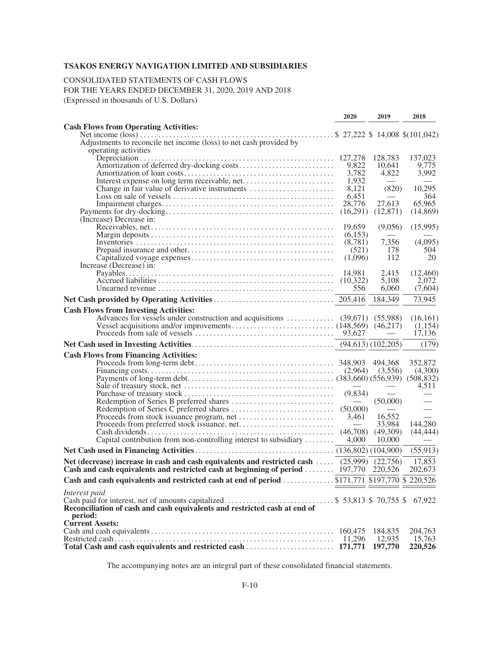CONSOLIDATED STATEMENTS OF CASH FLOWS FOR THE YEARS ENDED DECEMBER 31, 2020, 2019 AND 2018 (Expressed in thousands of U.S. Dollars)

|                                                                                             | 2020                          | 2019      | 2018              |
|---------------------------------------------------------------------------------------------|-------------------------------|-----------|-------------------|
| <b>Cash Flows from Operating Activities:</b>                                                |                               |           |                   |
|                                                                                             |                               |           |                   |
| Adjustments to reconcile net income (loss) to net cash provided by                          |                               |           |                   |
| operating activities                                                                        |                               |           |                   |
|                                                                                             | 127,278                       | 128,783   | 137,023           |
|                                                                                             | 9,822                         | 10,641    | 9,775             |
|                                                                                             | 3,782                         | 4,822     | 3,992             |
|                                                                                             | 1,932                         |           |                   |
| Change in fair value of derivative instruments                                              | 8,121                         | (820)     | 10,295            |
|                                                                                             | 6,451                         |           | 364               |
|                                                                                             | 28,776                        | 27,613    | 65,965            |
|                                                                                             | (16,291)                      | (12, 871) | (14,869)          |
| (Increase) Decrease in:                                                                     |                               |           |                   |
|                                                                                             | 19.659                        | (9,056)   | (15,995)          |
|                                                                                             | (6,153)                       |           |                   |
|                                                                                             | (8,781)                       | 7,356     | (4,095)           |
|                                                                                             | (521)                         | 178       | 504               |
|                                                                                             | (1,096)                       | 112       | 20                |
| Increase (Decrease) in:                                                                     |                               |           |                   |
|                                                                                             | 14,981                        | 2,415     | (12,460)          |
|                                                                                             | (10,322)                      | 5,108     | 2,072             |
|                                                                                             | 556                           | 6,060     | (7,604)           |
|                                                                                             | 205,416                       | 184,349   | 73,945            |
|                                                                                             |                               |           |                   |
| <b>Cash Flows from Investing Activities:</b>                                                |                               |           |                   |
|                                                                                             |                               | (55,988)  | (16,161)          |
|                                                                                             | 93,627                        | (46,217)  | (1,154)<br>17,136 |
|                                                                                             |                               |           |                   |
|                                                                                             |                               |           | (179)             |
| <b>Cash Flows from Financing Activities:</b>                                                |                               |           |                   |
|                                                                                             | 348,903                       | 494,368   | 352,872           |
|                                                                                             | (2,964)                       | (3,556)   | (4,300)           |
|                                                                                             |                               |           |                   |
|                                                                                             |                               |           | 4,511             |
|                                                                                             | (9,834)                       |           |                   |
|                                                                                             | $\overbrace{\phantom{aaaaa}}$ | (50,000)  |                   |
|                                                                                             | (50,000)                      |           |                   |
|                                                                                             | 3,461                         | 16,552    |                   |
|                                                                                             |                               | 33,984    | 144,280           |
|                                                                                             | (46,708)                      | (49,309)  | (44, 444)         |
| Capital contribution from non-controlling interest to subsidiary $\dots\dots$               | 4,000                         | 10,000    |                   |
|                                                                                             |                               |           | (55, 913)         |
| Net (decrease) increase in cash and cash equivalents and restricted cash  (25,999) (22,756) |                               |           | 17,853            |
| Cash and cash equivalents and restricted cash at beginning of period  197,770               |                               | 220,526   | 202,673           |
|                                                                                             |                               |           |                   |
|                                                                                             |                               |           |                   |
| Interest paid                                                                               |                               |           |                   |
|                                                                                             |                               |           |                   |
| Reconciliation of cash and cash equivalents and restricted cash at end of                   |                               |           |                   |
| period:                                                                                     |                               |           |                   |
| <b>Current Assets:</b>                                                                      |                               |           |                   |
|                                                                                             |                               | 184,835   | 204,763           |
|                                                                                             |                               | 12,935    | 15,763            |
|                                                                                             |                               | 197,770   | 220,526           |

The accompanying notes are an integral part of these consolidated financial statements.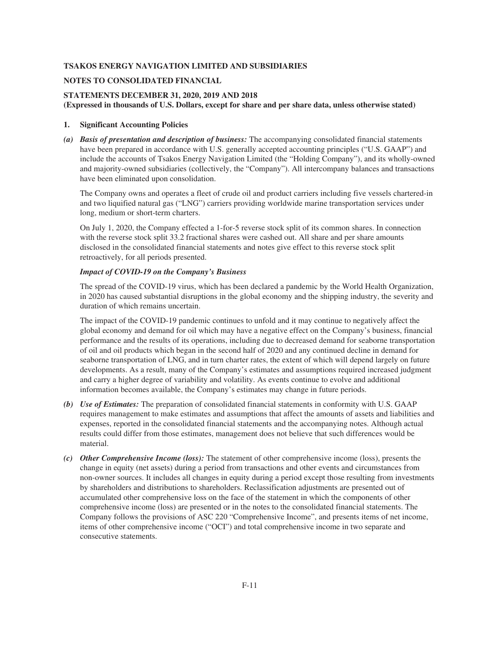### **NOTES TO CONSOLIDATED FINANCIAL**

## **STATEMENTS DECEMBER 31, 2020, 2019 AND 2018**

**(Expressed in thousands of U.S. Dollars, except for share and per share data, unless otherwise stated)**

#### **1. Significant Accounting Policies**

*(a) Basis of presentation and description of business:* The accompanying consolidated financial statements have been prepared in accordance with U.S. generally accepted accounting principles ("U.S. GAAP") and include the accounts of Tsakos Energy Navigation Limited (the "Holding Company"), and its wholly-owned and majority-owned subsidiaries (collectively, the "Company"). All intercompany balances and transactions have been eliminated upon consolidation.

The Company owns and operates a fleet of crude oil and product carriers including five vessels chartered-in and two liquified natural gas ("LNG") carriers providing worldwide marine transportation services under long, medium or short-term charters.

On July 1, 2020, the Company effected a 1-for-5 reverse stock split of its common shares. In connection with the reverse stock split 33.2 fractional shares were cashed out. All share and per share amounts disclosed in the consolidated financial statements and notes give effect to this reverse stock split retroactively, for all periods presented.

#### *Impact of COVID-19 on the Company's Business*

The spread of the COVID-19 virus, which has been declared a pandemic by the World Health Organization, in 2020 has caused substantial disruptions in the global economy and the shipping industry, the severity and duration of which remains uncertain.

The impact of the COVID-19 pandemic continues to unfold and it may continue to negatively affect the global economy and demand for oil which may have a negative effect on the Company's business, financial performance and the results of its operations, including due to decreased demand for seaborne transportation of oil and oil products which began in the second half of 2020 and any continued decline in demand for seaborne transportation of LNG, and in turn charter rates, the extent of which will depend largely on future developments. As a result, many of the Company's estimates and assumptions required increased judgment and carry a higher degree of variability and volatility. As events continue to evolve and additional information becomes available, the Company's estimates may change in future periods.

- *(b) Use of Estimates:* The preparation of consolidated financial statements in conformity with U.S. GAAP requires management to make estimates and assumptions that affect the amounts of assets and liabilities and expenses, reported in the consolidated financial statements and the accompanying notes. Although actual results could differ from those estimates, management does not believe that such differences would be material.
- *(c) Other Comprehensive Income (loss):* The statement of other comprehensive income (loss), presents the change in equity (net assets) during a period from transactions and other events and circumstances from non-owner sources. It includes all changes in equity during a period except those resulting from investments by shareholders and distributions to shareholders. Reclassification adjustments are presented out of accumulated other comprehensive loss on the face of the statement in which the components of other comprehensive income (loss) are presented or in the notes to the consolidated financial statements. The Company follows the provisions of ASC 220 "Comprehensive Income", and presents items of net income, items of other comprehensive income ("OCI") and total comprehensive income in two separate and consecutive statements.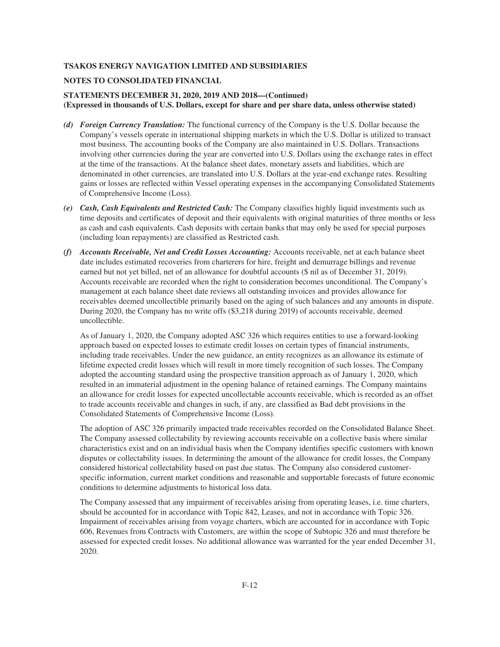### **NOTES TO CONSOLIDATED FINANCIAL**

### **STATEMENTS DECEMBER 31, 2020, 2019 AND 2018—(Continued) (Expressed in thousands of U.S. Dollars, except for share and per share data, unless otherwise stated)**

- *(d) Foreign Currency Translation:* The functional currency of the Company is the U.S. Dollar because the Company's vessels operate in international shipping markets in which the U.S. Dollar is utilized to transact most business. The accounting books of the Company are also maintained in U.S. Dollars. Transactions involving other currencies during the year are converted into U.S. Dollars using the exchange rates in effect at the time of the transactions. At the balance sheet dates, monetary assets and liabilities, which are denominated in other currencies, are translated into U.S. Dollars at the year-end exchange rates. Resulting gains or losses are reflected within Vessel operating expenses in the accompanying Consolidated Statements of Comprehensive Income (Loss).
- *(e) Cash, Cash Equivalents and Restricted Cash:* The Company classifies highly liquid investments such as time deposits and certificates of deposit and their equivalents with original maturities of three months or less as cash and cash equivalents. Cash deposits with certain banks that may only be used for special purposes (including loan repayments) are classified as Restricted cash.
- *(f) Accounts Receivable, Net and Credit Losses Accounting:* Accounts receivable, net at each balance sheet date includes estimated recoveries from charterers for hire, freight and demurrage billings and revenue earned but not yet billed, net of an allowance for doubtful accounts (\$ nil as of December 31, 2019). Accounts receivable are recorded when the right to consideration becomes unconditional. The Company's management at each balance sheet date reviews all outstanding invoices and provides allowance for receivables deemed uncollectible primarily based on the aging of such balances and any amounts in dispute. During 2020, the Company has no write offs (\$3,218 during 2019) of accounts receivable, deemed uncollectible.

As of January 1, 2020, the Company adopted ASC 326 which requires entities to use a forward-looking approach based on expected losses to estimate credit losses on certain types of financial instruments, including trade receivables. Under the new guidance, an entity recognizes as an allowance its estimate of lifetime expected credit losses which will result in more timely recognition of such losses. The Company adopted the accounting standard using the prospective transition approach as of January 1, 2020, which resulted in an immaterial adjustment in the opening balance of retained earnings. The Company maintains an allowance for credit losses for expected uncollectable accounts receivable, which is recorded as an offset to trade accounts receivable and changes in such, if any, are classified as Bad debt provisions in the Consolidated Statements of Comprehensive Income (Loss).

The adoption of ASC 326 primarily impacted trade receivables recorded on the Consolidated Balance Sheet. The Company assessed collectability by reviewing accounts receivable on a collective basis where similar characteristics exist and on an individual basis when the Company identifies specific customers with known disputes or collectability issues. In determining the amount of the allowance for credit losses, the Company considered historical collectability based on past due status. The Company also considered customerspecific information, current market conditions and reasonable and supportable forecasts of future economic conditions to determine adjustments to historical loss data.

The Company assessed that any impairment of receivables arising from operating leases, i.e. time charters, should be accounted for in accordance with Topic 842, Leases, and not in accordance with Topic 326. Impairment of receivables arising from voyage charters, which are accounted for in accordance with Topic 606, Revenues from Contracts with Customers, are within the scope of Subtopic 326 and must therefore be assessed for expected credit losses. No additional allowance was warranted for the year ended December 31, 2020.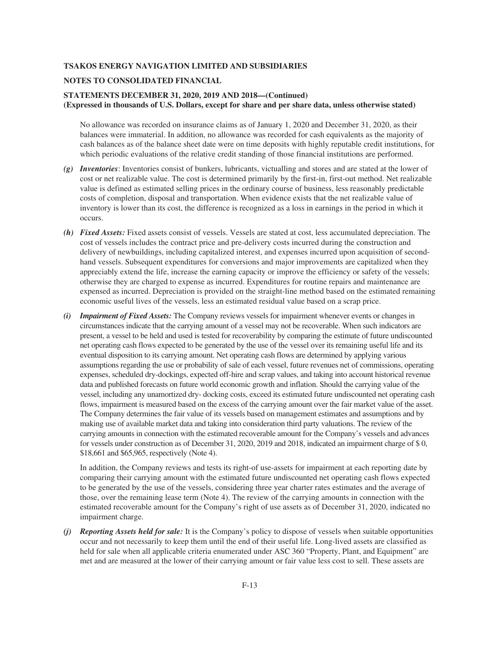### **NOTES TO CONSOLIDATED FINANCIAL**

#### **STATEMENTS DECEMBER 31, 2020, 2019 AND 2018—(Continued) (Expressed in thousands of U.S. Dollars, except for share and per share data, unless otherwise stated)**

No allowance was recorded on insurance claims as of January 1, 2020 and December 31, 2020, as their balances were immaterial. In addition, no allowance was recorded for cash equivalents as the majority of cash balances as of the balance sheet date were on time deposits with highly reputable credit institutions, for which periodic evaluations of the relative credit standing of those financial institutions are performed.

- *(g) Inventories*: Inventories consist of bunkers, lubricants, victualling and stores and are stated at the lower of cost or net realizable value. The cost is determined primarily by the first-in, first-out method. Net realizable value is defined as estimated selling prices in the ordinary course of business, less reasonably predictable costs of completion, disposal and transportation. When evidence exists that the net realizable value of inventory is lower than its cost, the difference is recognized as a loss in earnings in the period in which it occurs.
- *(h) Fixed Assets:* Fixed assets consist of vessels. Vessels are stated at cost, less accumulated depreciation. The cost of vessels includes the contract price and pre-delivery costs incurred during the construction and delivery of newbuildings, including capitalized interest, and expenses incurred upon acquisition of secondhand vessels. Subsequent expenditures for conversions and major improvements are capitalized when they appreciably extend the life, increase the earning capacity or improve the efficiency or safety of the vessels; otherwise they are charged to expense as incurred. Expenditures for routine repairs and maintenance are expensed as incurred. Depreciation is provided on the straight-line method based on the estimated remaining economic useful lives of the vessels, less an estimated residual value based on a scrap price.
- *(i) Impairment of Fixed Assets:* The Company reviews vessels for impairment whenever events or changes in circumstances indicate that the carrying amount of a vessel may not be recoverable. When such indicators are present, a vessel to be held and used is tested for recoverability by comparing the estimate of future undiscounted net operating cash flows expected to be generated by the use of the vessel over its remaining useful life and its eventual disposition to its carrying amount. Net operating cash flows are determined by applying various assumptions regarding the use or probability of sale of each vessel, future revenues net of commissions, operating expenses, scheduled dry-dockings, expected off-hire and scrap values, and taking into account historical revenue data and published forecasts on future world economic growth and inflation. Should the carrying value of the vessel, including any unamortized dry- docking costs, exceed its estimated future undiscounted net operating cash flows, impairment is measured based on the excess of the carrying amount over the fair market value of the asset. The Company determines the fair value of its vessels based on management estimates and assumptions and by making use of available market data and taking into consideration third party valuations. The review of the carrying amounts in connection with the estimated recoverable amount for the Company's vessels and advances for vessels under construction as of December 31, 2020, 2019 and 2018, indicated an impairment charge of \$ 0, \$18,661 and \$65,965, respectively (Note 4).

In addition, the Company reviews and tests its right-of use-assets for impairment at each reporting date by comparing their carrying amount with the estimated future undiscounted net operating cash flows expected to be generated by the use of the vessels, considering three year charter rates estimates and the average of those, over the remaining lease term (Note 4). The review of the carrying amounts in connection with the estimated recoverable amount for the Company's right of use assets as of December 31, 2020, indicated no impairment charge.

*(j) Reporting Assets held for sale:* It is the Company's policy to dispose of vessels when suitable opportunities occur and not necessarily to keep them until the end of their useful life. Long-lived assets are classified as held for sale when all applicable criteria enumerated under ASC 360 "Property, Plant, and Equipment" are met and are measured at the lower of their carrying amount or fair value less cost to sell. These assets are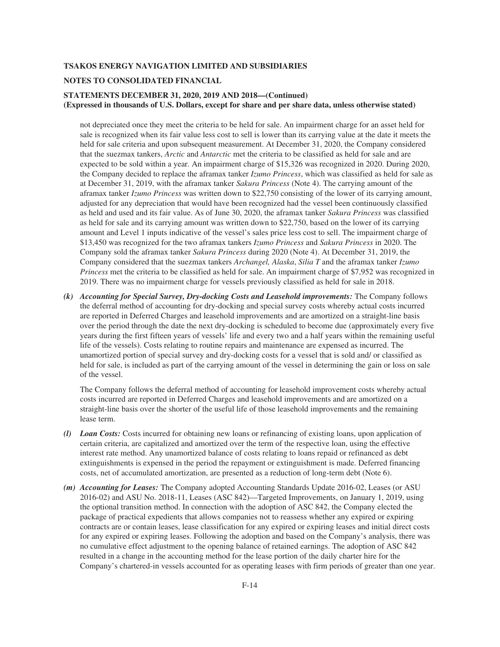### **NOTES TO CONSOLIDATED FINANCIAL**

#### **STATEMENTS DECEMBER 31, 2020, 2019 AND 2018—(Continued) (Expressed in thousands of U.S. Dollars, except for share and per share data, unless otherwise stated)**

not depreciated once they meet the criteria to be held for sale. An impairment charge for an asset held for sale is recognized when its fair value less cost to sell is lower than its carrying value at the date it meets the held for sale criteria and upon subsequent measurement. At December 31, 2020, the Company considered that the suezmax tankers, *Arctic* and *Antarctic* met the criteria to be classified as held for sale and are expected to be sold within a year. An impairment charge of \$15,326 was recognized in 2020. During 2020, the Company decided to replace the aframax tanker *Izumo Princess*, which was classified as held for sale as at December 31, 2019, with the aframax tanker *Sakura Princess* (Note 4). The carrying amount of the aframax tanker *Izumo Princess* was written down to \$22,750 consisting of the lower of its carrying amount, adjusted for any depreciation that would have been recognized had the vessel been continuously classified as held and used and its fair value. As of June 30, 2020, the aframax tanker *Sakura Princess* was classified as held for sale and its carrying amount was written down to \$22,750, based on the lower of its carrying amount and Level 1 inputs indicative of the vessel's sales price less cost to sell. The impairment charge of \$13,450 was recognized for the two aframax tankers *Izumo Princess* and *Sakura Princess* in 2020. The Company sold the aframax tanker *Sakura Princess* during 2020 (Note 4). At December 31, 2019, the Company considered that the suezmax tankers *Archangel, Alaska*, *Silia T* and the aframax tanker *Izumo Princess* met the criteria to be classified as held for sale. An impairment charge of \$7,952 was recognized in 2019. There was no impairment charge for vessels previously classified as held for sale in 2018.

*(k) Accounting for Special Survey, Dry-docking Costs and Leasehold improvements:* The Company follows the deferral method of accounting for dry-docking and special survey costs whereby actual costs incurred are reported in Deferred Charges and leasehold improvements and are amortized on a straight-line basis over the period through the date the next dry-docking is scheduled to become due (approximately every five years during the first fifteen years of vessels' life and every two and a half years within the remaining useful life of the vessels). Costs relating to routine repairs and maintenance are expensed as incurred. The unamortized portion of special survey and dry-docking costs for a vessel that is sold and/ or classified as held for sale, is included as part of the carrying amount of the vessel in determining the gain or loss on sale of the vessel.

The Company follows the deferral method of accounting for leasehold improvement costs whereby actual costs incurred are reported in Deferred Charges and leasehold improvements and are amortized on a straight-line basis over the shorter of the useful life of those leasehold improvements and the remaining lease term.

- *(l) Loan Costs:* Costs incurred for obtaining new loans or refinancing of existing loans, upon application of certain criteria, are capitalized and amortized over the term of the respective loan, using the effective interest rate method. Any unamortized balance of costs relating to loans repaid or refinanced as debt extinguishments is expensed in the period the repayment or extinguishment is made. Deferred financing costs, net of accumulated amortization, are presented as a reduction of long-term debt (Note 6).
- *(m) Accounting for Leases:* The Company adopted Accounting Standards Update 2016-02, Leases (or ASU 2016-02) and ASU No. 2018-11, Leases (ASC 842)—Targeted Improvements, on January 1, 2019, using the optional transition method. In connection with the adoption of ASC 842, the Company elected the package of practical expedients that allows companies not to reassess whether any expired or expiring contracts are or contain leases, lease classification for any expired or expiring leases and initial direct costs for any expired or expiring leases. Following the adoption and based on the Company's analysis, there was no cumulative effect adjustment to the opening balance of retained earnings. The adoption of ASC 842 resulted in a change in the accounting method for the lease portion of the daily charter hire for the Company's chartered-in vessels accounted for as operating leases with firm periods of greater than one year.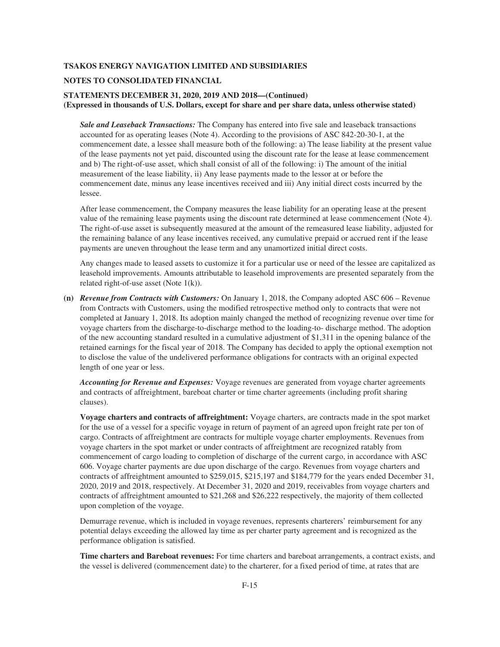### **NOTES TO CONSOLIDATED FINANCIAL**

### **STATEMENTS DECEMBER 31, 2020, 2019 AND 2018—(Continued) (Expressed in thousands of U.S. Dollars, except for share and per share data, unless otherwise stated)**

*Sale and Leaseback Transactions:* The Company has entered into five sale and leaseback transactions accounted for as operating leases (Note 4). According to the provisions of ASC 842-20-30-1, at the commencement date, a lessee shall measure both of the following: a) The lease liability at the present value of the lease payments not yet paid, discounted using the discount rate for the lease at lease commencement and b) The right-of-use asset, which shall consist of all of the following: i) The amount of the initial measurement of the lease liability, ii) Any lease payments made to the lessor at or before the commencement date, minus any lease incentives received and iii) Any initial direct costs incurred by the lessee.

After lease commencement, the Company measures the lease liability for an operating lease at the present value of the remaining lease payments using the discount rate determined at lease commencement (Note 4). The right-of-use asset is subsequently measured at the amount of the remeasured lease liability, adjusted for the remaining balance of any lease incentives received, any cumulative prepaid or accrued rent if the lease payments are uneven throughout the lease term and any unamortized initial direct costs.

Any changes made to leased assets to customize it for a particular use or need of the lessee are capitalized as leasehold improvements. Amounts attributable to leasehold improvements are presented separately from the related right-of-use asset (Note  $1(k)$ ).

**(n)** *Revenue from Contracts with Customers:* On January 1, 2018, the Company adopted ASC 606 – Revenue from Contracts with Customers, using the modified retrospective method only to contracts that were not completed at January 1, 2018. Its adoption mainly changed the method of recognizing revenue over time for voyage charters from the discharge-to-discharge method to the loading-to- discharge method. The adoption of the new accounting standard resulted in a cumulative adjustment of \$1,311 in the opening balance of the retained earnings for the fiscal year of 2018. The Company has decided to apply the optional exemption not to disclose the value of the undelivered performance obligations for contracts with an original expected length of one year or less.

*Accounting for Revenue and Expenses:* Voyage revenues are generated from voyage charter agreements and contracts of affreightment, bareboat charter or time charter agreements (including profit sharing clauses).

**Voyage charters and contracts of affreightment:** Voyage charters, are contracts made in the spot market for the use of a vessel for a specific voyage in return of payment of an agreed upon freight rate per ton of cargo. Contracts of affreightment are contracts for multiple voyage charter employments. Revenues from voyage charters in the spot market or under contracts of affreightment are recognized ratably from commencement of cargo loading to completion of discharge of the current cargo, in accordance with ASC 606. Voyage charter payments are due upon discharge of the cargo. Revenues from voyage charters and contracts of affreightment amounted to \$259,015, \$215,197 and \$184,779 for the years ended December 31, 2020, 2019 and 2018, respectively. At December 31, 2020 and 2019, receivables from voyage charters and contracts of affreightment amounted to \$21,268 and \$26,222 respectively, the majority of them collected upon completion of the voyage.

Demurrage revenue, which is included in voyage revenues, represents charterers' reimbursement for any potential delays exceeding the allowed lay time as per charter party agreement and is recognized as the performance obligation is satisfied.

**Time charters and Bareboat revenues:** For time charters and bareboat arrangements, a contract exists, and the vessel is delivered (commencement date) to the charterer, for a fixed period of time, at rates that are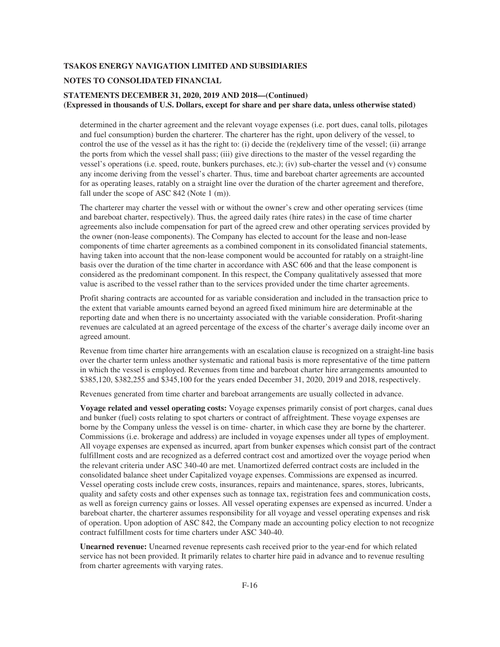### **NOTES TO CONSOLIDATED FINANCIAL**

## **STATEMENTS DECEMBER 31, 2020, 2019 AND 2018—(Continued) (Expressed in thousands of U.S. Dollars, except for share and per share data, unless otherwise stated)**

determined in the charter agreement and the relevant voyage expenses (i.e. port dues, canal tolls, pilotages and fuel consumption) burden the charterer. The charterer has the right, upon delivery of the vessel, to control the use of the vessel as it has the right to: (i) decide the (re)delivery time of the vessel; (ii) arrange the ports from which the vessel shall pass; (iii) give directions to the master of the vessel regarding the vessel's operations (i.e. speed, route, bunkers purchases, etc.); (iv) sub-charter the vessel and (v) consume any income deriving from the vessel's charter. Thus, time and bareboat charter agreements are accounted for as operating leases, ratably on a straight line over the duration of the charter agreement and therefore, fall under the scope of ASC 842 (Note 1 (m)).

The charterer may charter the vessel with or without the owner's crew and other operating services (time and bareboat charter, respectively). Thus, the agreed daily rates (hire rates) in the case of time charter agreements also include compensation for part of the agreed crew and other operating services provided by the owner (non-lease components). The Company has elected to account for the lease and non-lease components of time charter agreements as a combined component in its consolidated financial statements, having taken into account that the non-lease component would be accounted for ratably on a straight-line basis over the duration of the time charter in accordance with ASC 606 and that the lease component is considered as the predominant component. In this respect, the Company qualitatively assessed that more value is ascribed to the vessel rather than to the services provided under the time charter agreements.

Profit sharing contracts are accounted for as variable consideration and included in the transaction price to the extent that variable amounts earned beyond an agreed fixed minimum hire are determinable at the reporting date and when there is no uncertainty associated with the variable consideration. Profit-sharing revenues are calculated at an agreed percentage of the excess of the charter's average daily income over an agreed amount.

Revenue from time charter hire arrangements with an escalation clause is recognized on a straight-line basis over the charter term unless another systematic and rational basis is more representative of the time pattern in which the vessel is employed. Revenues from time and bareboat charter hire arrangements amounted to \$385,120, \$382,255 and \$345,100 for the years ended December 31, 2020, 2019 and 2018, respectively.

Revenues generated from time charter and bareboat arrangements are usually collected in advance.

**Voyage related and vessel operating costs:** Voyage expenses primarily consist of port charges, canal dues and bunker (fuel) costs relating to spot charters or contract of affreightment. These voyage expenses are borne by the Company unless the vessel is on time- charter, in which case they are borne by the charterer. Commissions (i.e. brokerage and address) are included in voyage expenses under all types of employment. All voyage expenses are expensed as incurred, apart from bunker expenses which consist part of the contract fulfillment costs and are recognized as a deferred contract cost and amortized over the voyage period when the relevant criteria under ASC 340-40 are met. Unamortized deferred contract costs are included in the consolidated balance sheet under Capitalized voyage expenses. Commissions are expensed as incurred. Vessel operating costs include crew costs, insurances, repairs and maintenance, spares, stores, lubricants, quality and safety costs and other expenses such as tonnage tax, registration fees and communication costs, as well as foreign currency gains or losses. All vessel operating expenses are expensed as incurred. Under a bareboat charter, the charterer assumes responsibility for all voyage and vessel operating expenses and risk of operation. Upon adoption of ASC 842, the Company made an accounting policy election to not recognize contract fulfillment costs for time charters under ASC 340-40.

**Unearned revenue:** Unearned revenue represents cash received prior to the year-end for which related service has not been provided. It primarily relates to charter hire paid in advance and to revenue resulting from charter agreements with varying rates.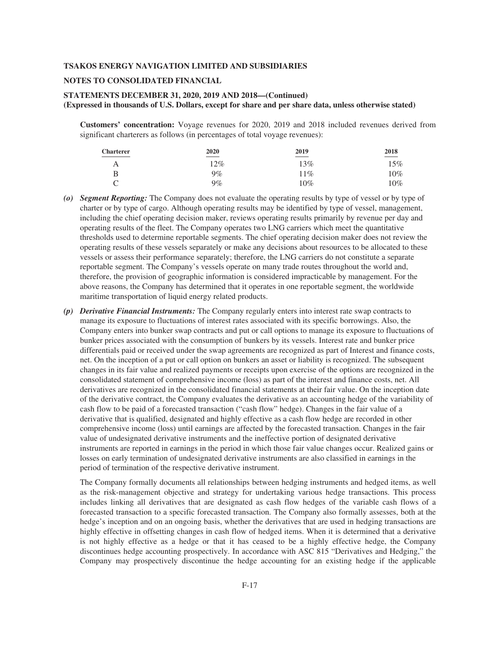### **NOTES TO CONSOLIDATED FINANCIAL**

#### **STATEMENTS DECEMBER 31, 2020, 2019 AND 2018—(Continued) (Expressed in thousands of U.S. Dollars, except for share and per share data, unless otherwise stated)**

**Customers' concentration:** Voyage revenues for 2020, 2019 and 2018 included revenues derived from significant charterers as follows (in percentages of total voyage revenues):

| <b>Charterer</b> | 2020 | 2019 | 2018   |
|------------------|------|------|--------|
| А                | 12%  | 13%  | 15%    |
| B                | 9%   | 11%  | $10\%$ |
|                  | 9%   | 10%  | 10%    |

- *(o) Segment Reporting:* The Company does not evaluate the operating results by type of vessel or by type of charter or by type of cargo. Although operating results may be identified by type of vessel, management, including the chief operating decision maker, reviews operating results primarily by revenue per day and operating results of the fleet. The Company operates two LNG carriers which meet the quantitative thresholds used to determine reportable segments. The chief operating decision maker does not review the operating results of these vessels separately or make any decisions about resources to be allocated to these vessels or assess their performance separately; therefore, the LNG carriers do not constitute a separate reportable segment. The Company's vessels operate on many trade routes throughout the world and, therefore, the provision of geographic information is considered impracticable by management. For the above reasons, the Company has determined that it operates in one reportable segment, the worldwide maritime transportation of liquid energy related products.
- *(p) Derivative Financial Instruments:* The Company regularly enters into interest rate swap contracts to manage its exposure to fluctuations of interest rates associated with its specific borrowings. Also, the Company enters into bunker swap contracts and put or call options to manage its exposure to fluctuations of bunker prices associated with the consumption of bunkers by its vessels. Interest rate and bunker price differentials paid or received under the swap agreements are recognized as part of Interest and finance costs, net. On the inception of a put or call option on bunkers an asset or liability is recognized. The subsequent changes in its fair value and realized payments or receipts upon exercise of the options are recognized in the consolidated statement of comprehensive income (loss) as part of the interest and finance costs, net. All derivatives are recognized in the consolidated financial statements at their fair value. On the inception date of the derivative contract, the Company evaluates the derivative as an accounting hedge of the variability of cash flow to be paid of a forecasted transaction ("cash flow" hedge). Changes in the fair value of a derivative that is qualified, designated and highly effective as a cash flow hedge are recorded in other comprehensive income (loss) until earnings are affected by the forecasted transaction. Changes in the fair value of undesignated derivative instruments and the ineffective portion of designated derivative instruments are reported in earnings in the period in which those fair value changes occur. Realized gains or losses on early termination of undesignated derivative instruments are also classified in earnings in the period of termination of the respective derivative instrument.

The Company formally documents all relationships between hedging instruments and hedged items, as well as the risk-management objective and strategy for undertaking various hedge transactions. This process includes linking all derivatives that are designated as cash flow hedges of the variable cash flows of a forecasted transaction to a specific forecasted transaction. The Company also formally assesses, both at the hedge's inception and on an ongoing basis, whether the derivatives that are used in hedging transactions are highly effective in offsetting changes in cash flow of hedged items. When it is determined that a derivative is not highly effective as a hedge or that it has ceased to be a highly effective hedge, the Company discontinues hedge accounting prospectively. In accordance with ASC 815 "Derivatives and Hedging," the Company may prospectively discontinue the hedge accounting for an existing hedge if the applicable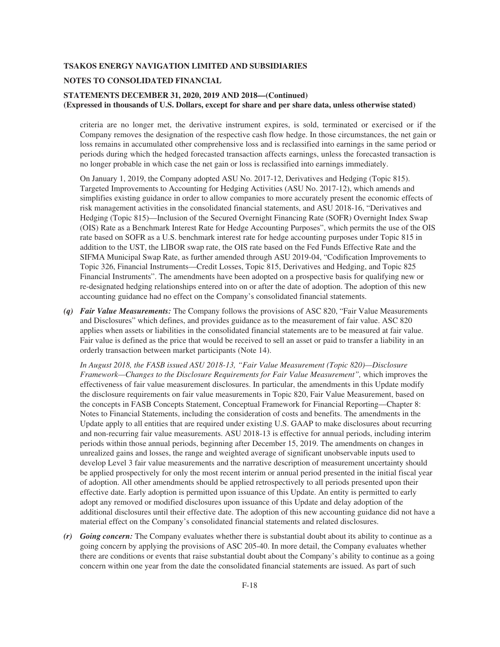### **NOTES TO CONSOLIDATED FINANCIAL**

#### **STATEMENTS DECEMBER 31, 2020, 2019 AND 2018—(Continued) (Expressed in thousands of U.S. Dollars, except for share and per share data, unless otherwise stated)**

criteria are no longer met, the derivative instrument expires, is sold, terminated or exercised or if the Company removes the designation of the respective cash flow hedge. In those circumstances, the net gain or loss remains in accumulated other comprehensive loss and is reclassified into earnings in the same period or periods during which the hedged forecasted transaction affects earnings, unless the forecasted transaction is no longer probable in which case the net gain or loss is reclassified into earnings immediately.

On January 1, 2019, the Company adopted ASU No. 2017-12, Derivatives and Hedging (Topic 815). Targeted Improvements to Accounting for Hedging Activities (ASU No. 2017-12), which amends and simplifies existing guidance in order to allow companies to more accurately present the economic effects of risk management activities in the consolidated financial statements, and ASU 2018-16, "Derivatives and Hedging (Topic 815)—Inclusion of the Secured Overnight Financing Rate (SOFR) Overnight Index Swap (OIS) Rate as a Benchmark Interest Rate for Hedge Accounting Purposes", which permits the use of the OIS rate based on SOFR as a U.S. benchmark interest rate for hedge accounting purposes under Topic 815 in addition to the UST, the LIBOR swap rate, the OIS rate based on the Fed Funds Effective Rate and the SIFMA Municipal Swap Rate, as further amended through ASU 2019-04, "Codification Improvements to Topic 326, Financial Instruments—Credit Losses, Topic 815, Derivatives and Hedging, and Topic 825 Financial Instruments". The amendments have been adopted on a prospective basis for qualifying new or re-designated hedging relationships entered into on or after the date of adoption. The adoption of this new accounting guidance had no effect on the Company's consolidated financial statements.

*(q) Fair Value Measurements:* The Company follows the provisions of ASC 820, "Fair Value Measurements and Disclosures" which defines, and provides guidance as to the measurement of fair value. ASC 820 applies when assets or liabilities in the consolidated financial statements are to be measured at fair value. Fair value is defined as the price that would be received to sell an asset or paid to transfer a liability in an orderly transaction between market participants (Note 14).

*In August 2018, the FASB issued ASU 2018-13, "Fair Value Measurement (Topic 820)—Disclosure Framework—Changes to the Disclosure Requirements for Fair Value Measurement",* which improves the effectiveness of fair value measurement disclosures. In particular, the amendments in this Update modify the disclosure requirements on fair value measurements in Topic 820, Fair Value Measurement, based on the concepts in FASB Concepts Statement, Conceptual Framework for Financial Reporting—Chapter 8: Notes to Financial Statements, including the consideration of costs and benefits. The amendments in the Update apply to all entities that are required under existing U.S. GAAP to make disclosures about recurring and non-recurring fair value measurements. ASU 2018-13 is effective for annual periods, including interim periods within those annual periods, beginning after December 15, 2019. The amendments on changes in unrealized gains and losses, the range and weighted average of significant unobservable inputs used to develop Level 3 fair value measurements and the narrative description of measurement uncertainty should be applied prospectively for only the most recent interim or annual period presented in the initial fiscal year of adoption. All other amendments should be applied retrospectively to all periods presented upon their effective date. Early adoption is permitted upon issuance of this Update. An entity is permitted to early adopt any removed or modified disclosures upon issuance of this Update and delay adoption of the additional disclosures until their effective date. The adoption of this new accounting guidance did not have a material effect on the Company's consolidated financial statements and related disclosures.

*(r) Going concern:* The Company evaluates whether there is substantial doubt about its ability to continue as a going concern by applying the provisions of ASC 205-40. In more detail, the Company evaluates whether there are conditions or events that raise substantial doubt about the Company's ability to continue as a going concern within one year from the date the consolidated financial statements are issued. As part of such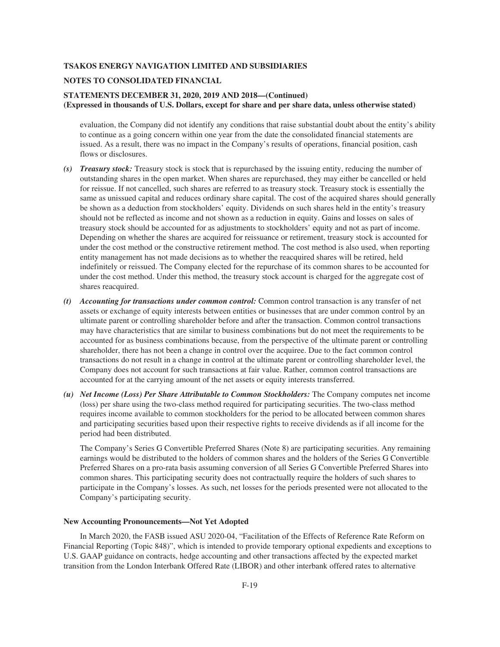### **NOTES TO CONSOLIDATED FINANCIAL**

### **STATEMENTS DECEMBER 31, 2020, 2019 AND 2018—(Continued) (Expressed in thousands of U.S. Dollars, except for share and per share data, unless otherwise stated)**

evaluation, the Company did not identify any conditions that raise substantial doubt about the entity's ability to continue as a going concern within one year from the date the consolidated financial statements are issued. As a result, there was no impact in the Company's results of operations, financial position, cash flows or disclosures.

- *(s) Treasury stock:* Treasury stock is stock that is repurchased by the issuing entity, reducing the number of outstanding shares in the open market. When shares are repurchased, they may either be cancelled or held for reissue. If not cancelled, such shares are referred to as treasury stock. Treasury stock is essentially the same as unissued capital and reduces ordinary share capital. The cost of the acquired shares should generally be shown as a deduction from stockholders' equity. Dividends on such shares held in the entity's treasury should not be reflected as income and not shown as a reduction in equity. Gains and losses on sales of treasury stock should be accounted for as adjustments to stockholders' equity and not as part of income. Depending on whether the shares are acquired for reissuance or retirement, treasury stock is accounted for under the cost method or the constructive retirement method. The cost method is also used, when reporting entity management has not made decisions as to whether the reacquired shares will be retired, held indefinitely or reissued. The Company elected for the repurchase of its common shares to be accounted for under the cost method. Under this method, the treasury stock account is charged for the aggregate cost of shares reacquired.
- *(t) Accounting for transactions under common control:* Common control transaction is any transfer of net assets or exchange of equity interests between entities or businesses that are under common control by an ultimate parent or controlling shareholder before and after the transaction. Common control transactions may have characteristics that are similar to business combinations but do not meet the requirements to be accounted for as business combinations because, from the perspective of the ultimate parent or controlling shareholder, there has not been a change in control over the acquiree. Due to the fact common control transactions do not result in a change in control at the ultimate parent or controlling shareholder level, the Company does not account for such transactions at fair value. Rather, common control transactions are accounted for at the carrying amount of the net assets or equity interests transferred.
- *(u) Net Income (Loss) Per Share Attributable to Common Stockholders:* The Company computes net income (loss) per share using the two-class method required for participating securities. The two-class method requires income available to common stockholders for the period to be allocated between common shares and participating securities based upon their respective rights to receive dividends as if all income for the period had been distributed.

The Company's Series G Convertible Preferred Shares (Note 8) are participating securities. Any remaining earnings would be distributed to the holders of common shares and the holders of the Series G Convertible Preferred Shares on a pro-rata basis assuming conversion of all Series G Convertible Preferred Shares into common shares. This participating security does not contractually require the holders of such shares to participate in the Company's losses. As such, net losses for the periods presented were not allocated to the Company's participating security.

#### **New Accounting Pronouncements—Not Yet Adopted**

In March 2020, the FASB issued ASU 2020-04, "Facilitation of the Effects of Reference Rate Reform on Financial Reporting (Topic 848)", which is intended to provide temporary optional expedients and exceptions to U.S. GAAP guidance on contracts, hedge accounting and other transactions affected by the expected market transition from the London Interbank Offered Rate (LIBOR) and other interbank offered rates to alternative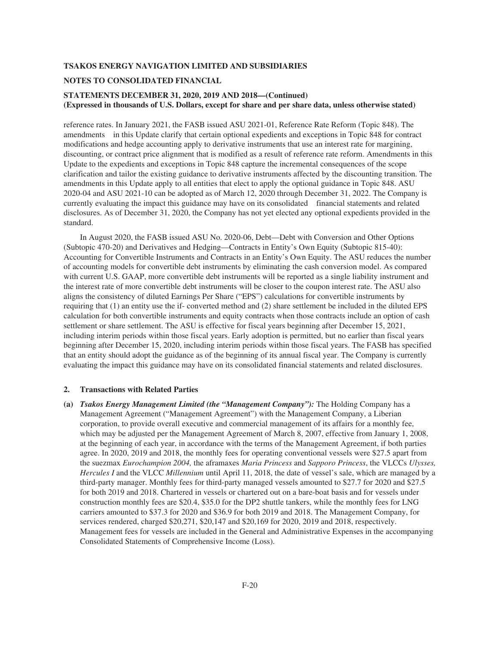### **NOTES TO CONSOLIDATED FINANCIAL**

### **STATEMENTS DECEMBER 31, 2020, 2019 AND 2018—(Continued) (Expressed in thousands of U.S. Dollars, except for share and per share data, unless otherwise stated)**

reference rates. In January 2021, the FASB issued ASU 2021-01, Reference Rate Reform (Topic 848). The amendments in this Update clarify that certain optional expedients and exceptions in Topic 848 for contract modifications and hedge accounting apply to derivative instruments that use an interest rate for margining, discounting, or contract price alignment that is modified as a result of reference rate reform. Amendments in this Update to the expedients and exceptions in Topic 848 capture the incremental consequences of the scope clarification and tailor the existing guidance to derivative instruments affected by the discounting transition. The amendments in this Update apply to all entities that elect to apply the optional guidance in Topic 848. ASU 2020-04 and ASU 2021-10 can be adopted as of March 12, 2020 through December 31, 2022. The Company is currently evaluating the impact this guidance may have on its consolidated financial statements and related disclosures. As of December 31, 2020, the Company has not yet elected any optional expedients provided in the standard.

In August 2020, the FASB issued ASU No. 2020-06, Debt—Debt with Conversion and Other Options (Subtopic 470-20) and Derivatives and Hedging—Contracts in Entity's Own Equity (Subtopic 815-40): Accounting for Convertible Instruments and Contracts in an Entity's Own Equity. The ASU reduces the number of accounting models for convertible debt instruments by eliminating the cash conversion model. As compared with current U.S. GAAP, more convertible debt instruments will be reported as a single liability instrument and the interest rate of more convertible debt instruments will be closer to the coupon interest rate. The ASU also aligns the consistency of diluted Earnings Per Share ("EPS") calculations for convertible instruments by requiring that (1) an entity use the if- converted method and (2) share settlement be included in the diluted EPS calculation for both convertible instruments and equity contracts when those contracts include an option of cash settlement or share settlement. The ASU is effective for fiscal years beginning after December 15, 2021, including interim periods within those fiscal years. Early adoption is permitted, but no earlier than fiscal years beginning after December 15, 2020, including interim periods within those fiscal years. The FASB has specified that an entity should adopt the guidance as of the beginning of its annual fiscal year. The Company is currently evaluating the impact this guidance may have on its consolidated financial statements and related disclosures.

#### **2. Transactions with Related Parties**

**(a)** *Tsakos Energy Management Limited (the "Management Company"):* The Holding Company has a Management Agreement ("Management Agreement") with the Management Company, a Liberian corporation, to provide overall executive and commercial management of its affairs for a monthly fee, which may be adjusted per the Management Agreement of March 8, 2007, effective from January 1, 2008, at the beginning of each year, in accordance with the terms of the Management Agreement, if both parties agree. In 2020, 2019 and 2018, the monthly fees for operating conventional vessels were \$27.5 apart from the suezmax *Eurochampion 2004,* the aframaxes *Maria Princess* and *Sapporo Princess*, the VLCCs *Ulysses, Hercules I* and the VLCC *Millennium* until April 11, 2018, the date of vessel's sale, which are managed by a third-party manager. Monthly fees for third-party managed vessels amounted to \$27.7 for 2020 and \$27.5 for both 2019 and 2018. Chartered in vessels or chartered out on a bare-boat basis and for vessels under construction monthly fees are \$20.4, \$35.0 for the DP2 shuttle tankers, while the monthly fees for LNG carriers amounted to \$37.3 for 2020 and \$36.9 for both 2019 and 2018. The Management Company, for services rendered, charged \$20,271, \$20,147 and \$20,169 for 2020, 2019 and 2018, respectively. Management fees for vessels are included in the General and Administrative Expenses in the accompanying Consolidated Statements of Comprehensive Income (Loss).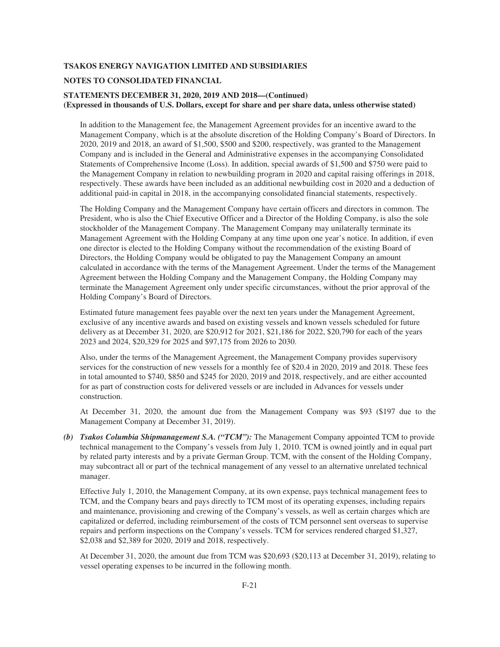### **NOTES TO CONSOLIDATED FINANCIAL**

### **STATEMENTS DECEMBER 31, 2020, 2019 AND 2018—(Continued) (Expressed in thousands of U.S. Dollars, except for share and per share data, unless otherwise stated)**

In addition to the Management fee, the Management Agreement provides for an incentive award to the Management Company, which is at the absolute discretion of the Holding Company's Board of Directors. In 2020, 2019 and 2018, an award of \$1,500, \$500 and \$200, respectively, was granted to the Management Company and is included in the General and Administrative expenses in the accompanying Consolidated Statements of Comprehensive Income (Loss). In addition, special awards of \$1,500 and \$750 were paid to the Management Company in relation to newbuilding program in 2020 and capital raising offerings in 2018, respectively. These awards have been included as an additional newbuilding cost in 2020 and a deduction of additional paid-in capital in 2018, in the accompanying consolidated financial statements, respectively.

The Holding Company and the Management Company have certain officers and directors in common. The President, who is also the Chief Executive Officer and a Director of the Holding Company, is also the sole stockholder of the Management Company. The Management Company may unilaterally terminate its Management Agreement with the Holding Company at any time upon one year's notice. In addition, if even one director is elected to the Holding Company without the recommendation of the existing Board of Directors, the Holding Company would be obligated to pay the Management Company an amount calculated in accordance with the terms of the Management Agreement. Under the terms of the Management Agreement between the Holding Company and the Management Company, the Holding Company may terminate the Management Agreement only under specific circumstances, without the prior approval of the Holding Company's Board of Directors.

Estimated future management fees payable over the next ten years under the Management Agreement, exclusive of any incentive awards and based on existing vessels and known vessels scheduled for future delivery as at December 31, 2020, are \$20,912 for 2021, \$21,186 for 2022, \$20,790 for each of the years 2023 and 2024, \$20,329 for 2025 and \$97,175 from 2026 to 2030.

Also, under the terms of the Management Agreement, the Management Company provides supervisory services for the construction of new vessels for a monthly fee of \$20.4 in 2020, 2019 and 2018. These fees in total amounted to \$740, \$850 and \$245 for 2020, 2019 and 2018, respectively, and are either accounted for as part of construction costs for delivered vessels or are included in Advances for vessels under construction.

At December 31, 2020, the amount due from the Management Company was \$93 (\$197 due to the Management Company at December 31, 2019).

*(b) Tsakos Columbia Shipmanagement S.A. ("TCM"):* The Management Company appointed TCM to provide technical management to the Company's vessels from July 1, 2010. TCM is owned jointly and in equal part by related party interests and by a private German Group. TCM, with the consent of the Holding Company, may subcontract all or part of the technical management of any vessel to an alternative unrelated technical manager.

Effective July 1, 2010, the Management Company, at its own expense, pays technical management fees to TCM, and the Company bears and pays directly to TCM most of its operating expenses, including repairs and maintenance, provisioning and crewing of the Company's vessels, as well as certain charges which are capitalized or deferred, including reimbursement of the costs of TCM personnel sent overseas to supervise repairs and perform inspections on the Company's vessels. TCM for services rendered charged \$1,327, \$2,038 and \$2,389 for 2020, 2019 and 2018, respectively.

At December 31, 2020, the amount due from TCM was \$20,693 (\$20,113 at December 31, 2019), relating to vessel operating expenses to be incurred in the following month.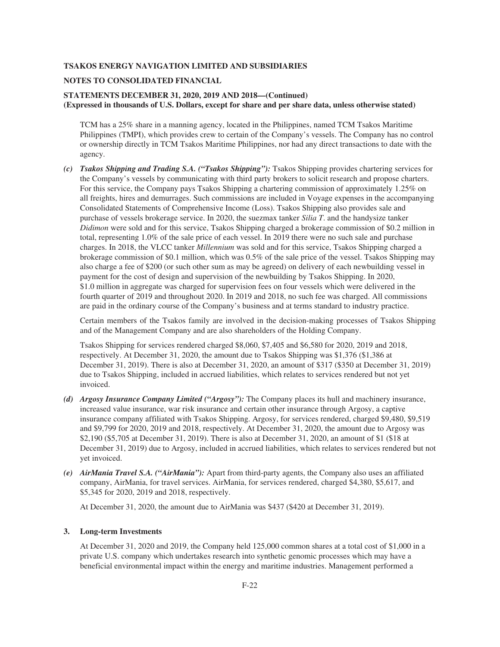### **NOTES TO CONSOLIDATED FINANCIAL**

### **STATEMENTS DECEMBER 31, 2020, 2019 AND 2018—(Continued) (Expressed in thousands of U.S. Dollars, except for share and per share data, unless otherwise stated)**

TCM has a 25% share in a manning agency, located in the Philippines, named TCM Tsakos Maritime Philippines (TMPI), which provides crew to certain of the Company's vessels. The Company has no control or ownership directly in TCM Tsakos Maritime Philippines, nor had any direct transactions to date with the agency.

*(c) Tsakos Shipping and Trading S.A. ("Tsakos Shipping"):* Tsakos Shipping provides chartering services for the Company's vessels by communicating with third party brokers to solicit research and propose charters. For this service, the Company pays Tsakos Shipping a chartering commission of approximately 1.25% on all freights, hires and demurrages. Such commissions are included in Voyage expenses in the accompanying Consolidated Statements of Comprehensive Income (Loss). Tsakos Shipping also provides sale and purchase of vessels brokerage service. In 2020, the suezmax tanker *Silia T*. and the handysize tanker *Didimon* were sold and for this service, Tsakos Shipping charged a brokerage commission of \$0.2 million in total, representing 1.0% of the sale price of each vessel. In 2019 there were no such sale and purchase charges. In 2018, the VLCC tanker *Millennium* was sold and for this service, Tsakos Shipping charged a brokerage commission of \$0.1 million, which was 0.5% of the sale price of the vessel. Tsakos Shipping may also charge a fee of \$200 (or such other sum as may be agreed) on delivery of each newbuilding vessel in payment for the cost of design and supervision of the newbuilding by Tsakos Shipping. In 2020, \$1.0 million in aggregate was charged for supervision fees on four vessels which were delivered in the fourth quarter of 2019 and throughout 2020. In 2019 and 2018, no such fee was charged. All commissions are paid in the ordinary course of the Company's business and at terms standard to industry practice.

Certain members of the Tsakos family are involved in the decision-making processes of Tsakos Shipping and of the Management Company and are also shareholders of the Holding Company.

Tsakos Shipping for services rendered charged \$8,060, \$7,405 and \$6,580 for 2020, 2019 and 2018, respectively. At December 31, 2020, the amount due to Tsakos Shipping was \$1,376 (\$1,386 at December 31, 2019). There is also at December 31, 2020, an amount of \$317 (\$350 at December 31, 2019) due to Tsakos Shipping, included in accrued liabilities, which relates to services rendered but not yet invoiced.

- *(d) Argosy Insurance Company Limited ("Argosy"):* The Company places its hull and machinery insurance, increased value insurance, war risk insurance and certain other insurance through Argosy, a captive insurance company affiliated with Tsakos Shipping. Argosy, for services rendered, charged \$9,480, \$9,519 and \$9,799 for 2020, 2019 and 2018, respectively. At December 31, 2020, the amount due to Argosy was \$2,190 (\$5,705 at December 31, 2019). There is also at December 31, 2020, an amount of \$1 (\$18 at December 31, 2019) due to Argosy, included in accrued liabilities, which relates to services rendered but not yet invoiced.
- *(e) AirMania Travel S.A. ("AirMania"):* Apart from third-party agents, the Company also uses an affiliated company, AirMania, for travel services. AirMania, for services rendered, charged \$4,380, \$5,617, and \$5,345 for 2020, 2019 and 2018, respectively.

At December 31, 2020, the amount due to AirMania was \$437 (\$420 at December 31, 2019).

#### **3. Long-term Investments**

At December 31, 2020 and 2019, the Company held 125,000 common shares at a total cost of \$1,000 in a private U.S. company which undertakes research into synthetic genomic processes which may have a beneficial environmental impact within the energy and maritime industries. Management performed a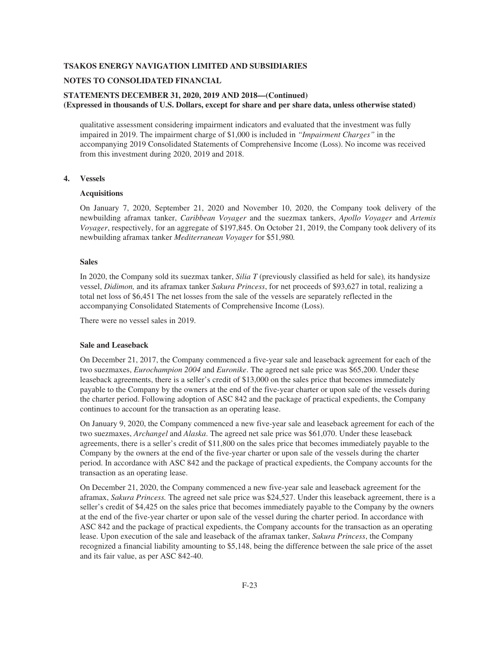### **NOTES TO CONSOLIDATED FINANCIAL**

#### **STATEMENTS DECEMBER 31, 2020, 2019 AND 2018—(Continued) (Expressed in thousands of U.S. Dollars, except for share and per share data, unless otherwise stated)**

qualitative assessment considering impairment indicators and evaluated that the investment was fully impaired in 2019. The impairment charge of \$1,000 is included in *"Impairment Charges"* in the accompanying 2019 Consolidated Statements of Comprehensive Income (Loss). No income was received from this investment during 2020, 2019 and 2018.

#### **4. Vessels**

#### **Acquisitions**

On January 7, 2020, September 21, 2020 and November 10, 2020, the Company took delivery of the newbuilding aframax tanker, *Caribbean Voyager* and the suezmax tankers, *Apollo Voyager* and *Artemis Voyager*, respectively, for an aggregate of \$197,845. On October 21, 2019, the Company took delivery of its newbuilding aframax tanker *Mediterranean Voyager* for \$51,980*.*

#### **Sales**

In 2020, the Company sold its suezmax tanker, *Silia T* (previously classified as held for sale)*,* its handysize vessel, *Didimon,* and its aframax tanker *Sakura Princess*, for net proceeds of \$93,627 in total, realizing a total net loss of \$6,451 The net losses from the sale of the vessels are separately reflected in the accompanying Consolidated Statements of Comprehensive Income (Loss).

There were no vessel sales in 2019.

### **Sale and Leaseback**

On December 21, 2017, the Company commenced a five-year sale and leaseback agreement for each of the two suezmaxes, *Eurochampion 2004* and *Euronike*. The agreed net sale price was \$65,200. Under these leaseback agreements, there is a seller's credit of \$13,000 on the sales price that becomes immediately payable to the Company by the owners at the end of the five-year charter or upon sale of the vessels during the charter period. Following adoption of ASC 842 and the package of practical expedients, the Company continues to account for the transaction as an operating lease.

On January 9, 2020, the Company commenced a new five-year sale and leaseback agreement for each of the two suezmaxes, *Archangel* and *Alaska*. The agreed net sale price was \$61,070. Under these leaseback agreements, there is a seller's credit of \$11,800 on the sales price that becomes immediately payable to the Company by the owners at the end of the five-year charter or upon sale of the vessels during the charter period. In accordance with ASC 842 and the package of practical expedients, the Company accounts for the transaction as an operating lease.

On December 21, 2020, the Company commenced a new five-year sale and leaseback agreement for the aframax, *Sakura Princess.* The agreed net sale price was \$24,527. Under this leaseback agreement, there is a seller's credit of \$4,425 on the sales price that becomes immediately payable to the Company by the owners at the end of the five-year charter or upon sale of the vessel during the charter period. In accordance with ASC 842 and the package of practical expedients, the Company accounts for the transaction as an operating lease. Upon execution of the sale and leaseback of the aframax tanker, *Sakura Princess*, the Company recognized a financial liability amounting to \$5,148, being the difference between the sale price of the asset and its fair value, as per ASC 842-40.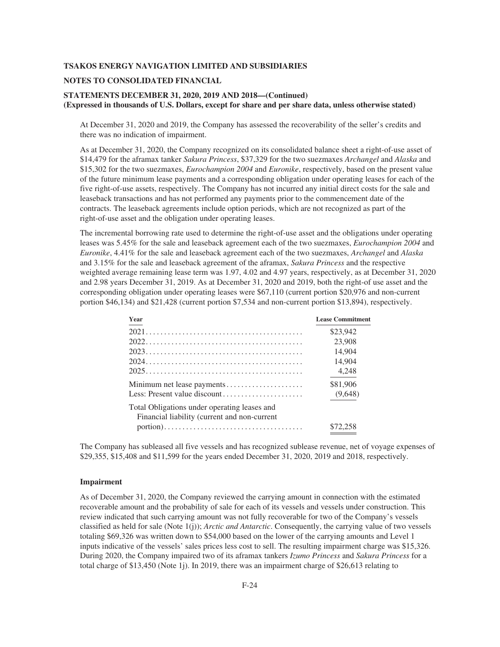### **NOTES TO CONSOLIDATED FINANCIAL**

# **STATEMENTS DECEMBER 31, 2020, 2019 AND 2018—(Continued) (Expressed in thousands of U.S. Dollars, except for share and per share data, unless otherwise stated)**

At December 31, 2020 and 2019, the Company has assessed the recoverability of the seller's credits and there was no indication of impairment.

As at December 31, 2020, the Company recognized on its consolidated balance sheet a right-of-use asset of \$14,479 for the aframax tanker *Sakura Princess*, \$37,329 for the two suezmaxes *Archangel* and *Alaska* and \$15,302 for the two suezmaxes, *Eurochampion 2004* and *Euronike*, respectively, based on the present value of the future minimum lease payments and a corresponding obligation under operating leases for each of the five right-of-use assets, respectively. The Company has not incurred any initial direct costs for the sale and leaseback transactions and has not performed any payments prior to the commencement date of the contracts. The leaseback agreements include option periods, which are not recognized as part of the right-of-use asset and the obligation under operating leases.

The incremental borrowing rate used to determine the right-of-use asset and the obligations under operating leases was 5.45% for the sale and leaseback agreement each of the two suezmaxes, *Eurochampion 2004* and *Euronike*, 4.41% for the sale and leaseback agreement each of the two suezmaxes, *Archangel* and *Alaska* and 3.15% for the sale and leaseback agreement of the aframax, *Sakura Princess* and the respective weighted average remaining lease term was 1.97, 4.02 and 4.97 years, respectively, as at December 31, 2020 and 2.98 years December 31, 2019. As at December 31, 2020 and 2019, both the right-of use asset and the corresponding obligation under operating leases were \$67,110 (current portion \$20,976 and non-current portion \$46,134) and \$21,428 (current portion \$7,534 and non-current portion \$13,894), respectively.

| Year                                         | <b>Lease Commitment</b> |
|----------------------------------------------|-------------------------|
|                                              | \$23,942                |
|                                              | 23,908                  |
|                                              | 14.904                  |
|                                              | 14,904                  |
|                                              | 4,248                   |
| Minimum net lease payments                   | \$81,906                |
|                                              | (9,648)                 |
| Total Obligations under operating leases and |                         |
| Financial liability (current and non-current |                         |
|                                              |                         |

The Company has subleased all five vessels and has recognized sublease revenue, net of voyage expenses of \$29,355, \$15,408 and \$11,599 for the years ended December 31, 2020, 2019 and 2018, respectively.

#### **Impairment**

As of December 31, 2020, the Company reviewed the carrying amount in connection with the estimated recoverable amount and the probability of sale for each of its vessels and vessels under construction. This review indicated that such carrying amount was not fully recoverable for two of the Company's vessels classified as held for sale (Note 1(j)); *Arctic and Antarctic*. Consequently, the carrying value of two vessels totaling \$69,326 was written down to \$54,000 based on the lower of the carrying amounts and Level 1 inputs indicative of the vessels' sales prices less cost to sell. The resulting impairment charge was \$15,326. During 2020, the Company impaired two of its aframax tankers *Izumo Princess* and *Sakura Princess* for a total charge of \$13,450 (Note 1j). In 2019, there was an impairment charge of \$26,613 relating to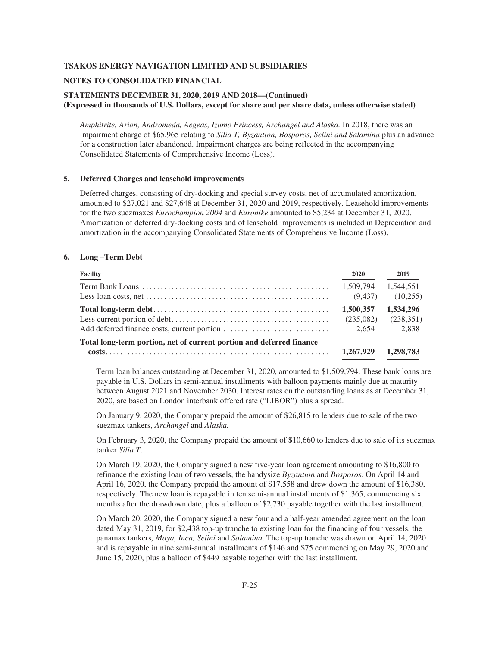### **NOTES TO CONSOLIDATED FINANCIAL**

#### **STATEMENTS DECEMBER 31, 2020, 2019 AND 2018—(Continued) (Expressed in thousands of U.S. Dollars, except for share and per share data, unless otherwise stated)**

*Amphitrite, Arion, Andromeda, Aegeas, Izumo Princess, Archangel and Alaska.* In 2018, there was an impairment charge of \$65,965 relating to *Silia T, Byzantion, Bosporos, Selini and Salamina* plus an advance for a construction later abandoned. Impairment charges are being reflected in the accompanying Consolidated Statements of Comprehensive Income (Loss).

#### **5. Deferred Charges and leasehold improvements**

Deferred charges, consisting of dry-docking and special survey costs, net of accumulated amortization, amounted to \$27,021 and \$27,648 at December 31, 2020 and 2019, respectively. Leasehold improvements for the two suezmaxes *Eurochampion 2004* and *Euronike* amounted to \$5,234 at December 31, 2020. Amortization of deferred dry-docking costs and of leasehold improvements is included in Depreciation and amortization in the accompanying Consolidated Statements of Comprehensive Income (Loss).

#### **6. Long –Term Debt**

| 2020      | 2019       |
|-----------|------------|
| 1,509,794 | 1.544.551  |
| (9, 437)  | (10,255)   |
| 1,500,357 | 1,534,296  |
| (235,082) | (238, 351) |
|           | 2,838      |
|           |            |
| 1,267,929 | 1,298,783  |
|           |            |

Term loan balances outstanding at December 31, 2020, amounted to \$1,509,794. These bank loans are payable in U.S. Dollars in semi-annual installments with balloon payments mainly due at maturity between August 2021 and November 2030. Interest rates on the outstanding loans as at December 31, 2020, are based on London interbank offered rate ("LIBOR") plus a spread.

On January 9, 2020, the Company prepaid the amount of \$26,815 to lenders due to sale of the two suezmax tankers, *Archangel* and *Alaska.*

On February 3, 2020, the Company prepaid the amount of \$10,660 to lenders due to sale of its suezmax tanker *Silia T*.

On March 19, 2020, the Company signed a new five-year loan agreement amounting to \$16,800 to refinance the existing loan of two vessels, the handysize *Byzantion* and *Bosporos*. On April 14 and April 16, 2020, the Company prepaid the amount of \$17,558 and drew down the amount of \$16,380, respectively. The new loan is repayable in ten semi-annual installments of \$1,365, commencing six months after the drawdown date, plus a balloon of \$2,730 payable together with the last installment.

On March 20, 2020, the Company signed a new four and a half-year amended agreement on the loan dated May 31, 2019, for \$2,438 top-up tranche to existing loan for the financing of four vessels, the panamax tankers*, Maya, Inca, Selini* and *Salamina*. The top-up tranche was drawn on April 14, 2020 and is repayable in nine semi-annual installments of \$146 and \$75 commencing on May 29, 2020 and June 15, 2020, plus a balloon of \$449 payable together with the last installment.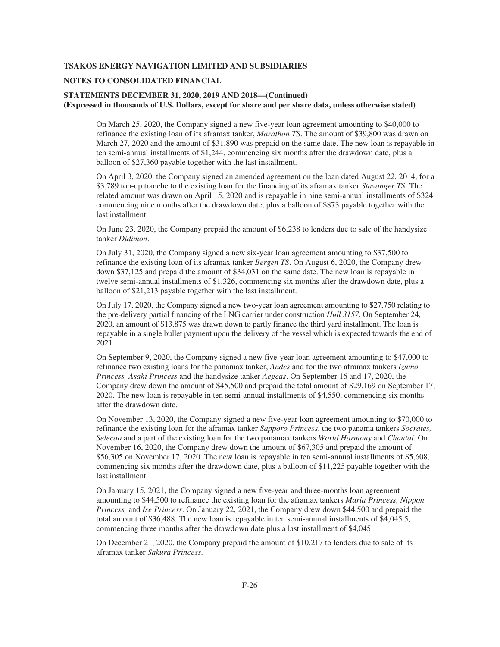### **NOTES TO CONSOLIDATED FINANCIAL**

# **STATEMENTS DECEMBER 31, 2020, 2019 AND 2018—(Continued) (Expressed in thousands of U.S. Dollars, except for share and per share data, unless otherwise stated)**

On March 25, 2020, the Company signed a new five-year loan agreement amounting to \$40,000 to refinance the existing loan of its aframax tanker, *Marathon TS*. The amount of \$39,800 was drawn on March 27, 2020 and the amount of \$31,890 was prepaid on the same date. The new loan is repayable in ten semi-annual installments of \$1,244, commencing six months after the drawdown date, plus a balloon of \$27,360 payable together with the last installment.

On April 3, 2020, the Company signed an amended agreement on the loan dated August 22, 2014, for a \$3,789 top-up tranche to the existing loan for the financing of its aframax tanker *Stavanger TS*. The related amount was drawn on April 15, 2020 and is repayable in nine semi-annual installments of \$324 commencing nine months after the drawdown date, plus a balloon of \$873 payable together with the last installment.

On June 23, 2020, the Company prepaid the amount of \$6,238 to lenders due to sale of the handysize tanker *Didimon*.

On July 31, 2020, the Company signed a new six-year loan agreement amounting to \$37,500 to refinance the existing loan of its aframax tanker *Bergen TS*. On August 6, 2020, the Company drew down \$37,125 and prepaid the amount of \$34,031 on the same date. The new loan is repayable in twelve semi-annual installments of \$1,326, commencing six months after the drawdown date, plus a balloon of \$21,213 payable together with the last installment.

On July 17, 2020, the Company signed a new two-year loan agreement amounting to \$27,750 relating to the pre-delivery partial financing of the LNG carrier under construction *Hull 3157*. On September 24, 2020, an amount of \$13,875 was drawn down to partly finance the third yard installment. The loan is repayable in a single bullet payment upon the delivery of the vessel which is expected towards the end of 2021.

On September 9, 2020, the Company signed a new five-year loan agreement amounting to \$47,000 to refinance two existing loans for the panamax tanker, *Andes* and for the two aframax tankers *Izumo Princess, Asahi Princess* and the handysize tanker *Aegeas*. On September 16 and 17, 2020, the Company drew down the amount of \$45,500 and prepaid the total amount of \$29,169 on September 17, 2020. The new loan is repayable in ten semi-annual installments of \$4,550, commencing six months after the drawdown date.

On November 13, 2020, the Company signed a new five-year loan agreement amounting to \$70,000 to refinance the existing loan for the aframax tanker *Sapporo Princess*, the two panama tankers *Socrates, Selecao* and a part of the existing loan for the two panamax tankers *World Harmony* and *Chantal.* On November 16, 2020, the Company drew down the amount of \$67,305 and prepaid the amount of \$56,305 on November 17, 2020. The new loan is repayable in ten semi-annual installments of \$5,608, commencing six months after the drawdown date, plus a balloon of \$11,225 payable together with the last installment.

On January 15, 2021, the Company signed a new five-year and three-months loan agreement amounting to \$44,500 to refinance the existing loan for the aframax tankers *Maria Princess, Nippon Princess,* and *Ise Princess*. On January 22, 2021, the Company drew down \$44,500 and prepaid the total amount of \$36,488. The new loan is repayable in ten semi-annual installments of \$4,045.5, commencing three months after the drawdown date plus a last installment of \$4,045.

On December 21, 2020, the Company prepaid the amount of \$10,217 to lenders due to sale of its aframax tanker *Sakura Princess*.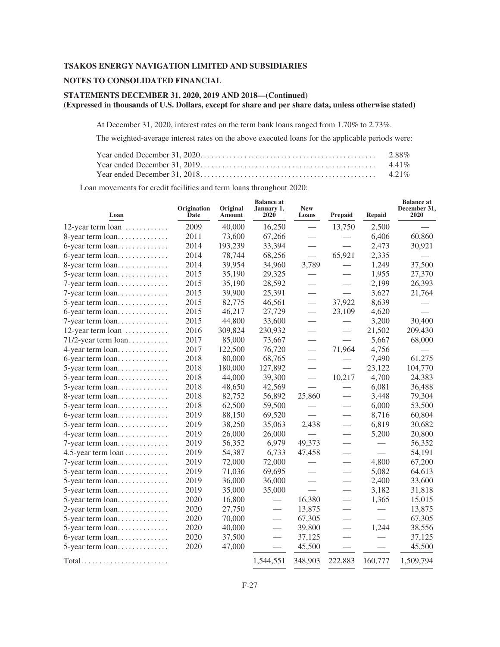# **NOTES TO CONSOLIDATED FINANCIAL**

### **STATEMENTS DECEMBER 31, 2020, 2019 AND 2018—(Continued)**

# **(Expressed in thousands of U.S. Dollars, except for share and per share data, unless otherwise stated)**

At December 31, 2020, interest rates on the term bank loans ranged from 1.70% to 2.73%.

The weighted-average interest rates on the above executed loans for the applicable periods were:

| 2.88%    |
|----------|
|          |
| $4.21\%$ |

Loan movements for credit facilities and term loans throughout 2020:

| Loan                | Origination<br>Date | Original<br>Amount | <b>Balance</b> at<br>January 1,<br>2020 | <b>New</b><br>Loans           | <b>Prepaid</b>           | <b>Repaid</b>                 | <b>Balance</b> at<br>December 31,<br>2020 |
|---------------------|---------------------|--------------------|-----------------------------------------|-------------------------------|--------------------------|-------------------------------|-------------------------------------------|
| 12-year term loan   | 2009                | 40,000             | 16,250                                  | $\overline{\phantom{m}}$      | 13,750                   | 2,500                         |                                           |
| 8-year term loan    | 2011                | 73,600             | 67,266                                  |                               |                          | 6,406                         | 60,860                                    |
| 6-year term loan    | 2014                | 193,239            | 33,394                                  |                               |                          | 2,473                         | 30,921                                    |
| 6-year term loan    | 2014                | 78,744             | 68,256                                  | $\equiv$                      | 65,921                   | 2,335                         |                                           |
| 8-year term loan    | 2014                | 39,954             | 34,960                                  | 3,789                         |                          | 1,249                         | 37,500                                    |
| 5-year term loan    | 2015                | 35,190             | 29,325                                  |                               |                          | 1,955                         | 27,370                                    |
| 7-year term loan    | 2015                | 35,190             | 28,592                                  |                               | $\overline{\phantom{0}}$ | 2,199                         | 26,393                                    |
| 7-year term loan    | 2015                | 39,900             | 25,391                                  |                               | $\overline{\phantom{0}}$ | 3,627                         | 21,764                                    |
| 5-year term loan    | 2015                | 82,775             | 46,561                                  | $\overline{\phantom{0}}$      | 37,922                   | 8,639                         |                                           |
| 6-year term loan    | 2015                | 46,217             | 27,729                                  | $\overline{\phantom{0}}$      | 23,109                   | 4,620                         |                                           |
| 7-year term loan    | 2015                | 44,800             | 33,600                                  | $\overline{\phantom{0}}$      |                          | 3,200                         | 30,400                                    |
| 12-year term loan   | 2016                | 309,824            | 230,932                                 |                               |                          | 21,502                        | 209,430                                   |
| 71/2-year term loan | 2017                | 85,000             | 73,667                                  |                               | $\equiv$                 | 5,667                         | 68,000                                    |
| 4-year term loan    | 2017                | 122,500            | 76,720                                  | $\overline{\phantom{0}}$      | 71,964                   | 4,756                         |                                           |
| 6-year term loan    | 2018                | 80,000             | 68,765                                  |                               |                          | 7,490                         | 61,275                                    |
| 5-year term loan    | 2018                | 180,000            | 127,892                                 |                               | $\equiv$                 | 23,122                        | 104,770                                   |
| 5-year term loan    | 2018                | 44,000             | 39,300                                  | $\overbrace{\phantom{aaaaa}}$ | 10,217                   | 4,700                         | 24,383                                    |
| 5-year term loan    | 2018                | 48,650             | 42,569                                  |                               | $\overline{\phantom{0}}$ | 6,081                         | 36,488                                    |
| 8-year term loan    | 2018                | 82,752             | 56,892                                  | 25,860                        | $\overline{\phantom{0}}$ | 3,448                         | 79,304                                    |
| 5-year term loan    | 2018                | 62,500             | 59,500                                  |                               | $\overline{\phantom{0}}$ | 6,000                         | 53,500                                    |
| 6-year term loan    | 2019                | 88,150             | 69,520                                  |                               | $\overline{\phantom{0}}$ | 8,716                         | 60,804                                    |
| 5-year term loan    | 2019                | 38,250             | 35,063                                  | 2,438                         | $\overline{\phantom{0}}$ | 6,819                         | 30,682                                    |
| 4-year term loan    | 2019                | 26,000             | 26,000                                  | $\overline{\phantom{0}}$      | $\qquad \qquad$          | 5,200                         | 20,800                                    |
| 7-year term loan    | 2019                | 56,352             | 6,979                                   | 49,373                        |                          |                               | 56,352                                    |
| 4.5-year term loan  | 2019                | 54,387             | 6,733                                   | 47,458                        | $\overline{\phantom{0}}$ | $\overline{\phantom{0}}$      | 54,191                                    |
| 7-year term loan    | 2019                | 72,000             | 72,000                                  |                               |                          | 4,800                         | 67,200                                    |
| 5-year term loan    | 2019                | 71,036             | 69,695                                  |                               |                          | 5,082                         | 64,613                                    |
| 5-year term loan    | 2019                | 36,000             | 36,000                                  |                               |                          | 2,400                         | 33,600                                    |
| 5-year term loan    | 2019                | 35,000             | 35,000                                  |                               | $\overline{\phantom{0}}$ | 3,182                         | 31,818                                    |
| 5-year term loan    | 2020                | 16,800             | $\overline{\phantom{0}}$                | 16,380                        |                          | 1,365                         | 15,015                                    |
| 2-year term loan    | 2020                | 27,750             | $\overbrace{\phantom{12322111}}$        | 13,875                        | $\overline{\phantom{0}}$ | $\overbrace{\phantom{13333}}$ | 13,875                                    |
| 5-year term loan    | 2020                | 70,000             |                                         | 67,305                        |                          |                               | 67,305                                    |
| 5-year term loan    | 2020                | 40,000             | $\overbrace{\phantom{aaaaa}}$           | 39,800                        | $\overline{\phantom{0}}$ | 1,244                         | 38,556                                    |
| 6-year term loan    | 2020                | 37,500             |                                         | 37,125                        |                          |                               | 37,125                                    |
| 5-year term loan    | 2020                | 47,000             |                                         | 45,500                        |                          |                               | 45,500                                    |
| Total               |                     |                    | 1,544,551                               | 348,903                       | 222,883                  | 160,777                       | 1,509,794                                 |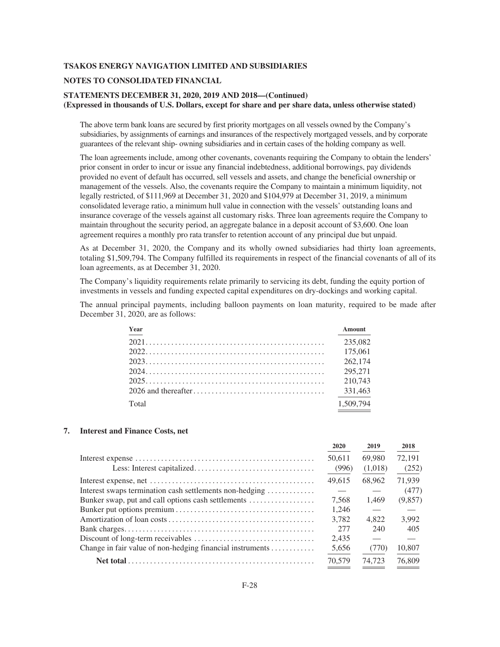### **NOTES TO CONSOLIDATED FINANCIAL**

# **STATEMENTS DECEMBER 31, 2020, 2019 AND 2018—(Continued)**

### **(Expressed in thousands of U.S. Dollars, except for share and per share data, unless otherwise stated)**

The above term bank loans are secured by first priority mortgages on all vessels owned by the Company's subsidiaries, by assignments of earnings and insurances of the respectively mortgaged vessels, and by corporate guarantees of the relevant ship- owning subsidiaries and in certain cases of the holding company as well.

The loan agreements include, among other covenants, covenants requiring the Company to obtain the lenders' prior consent in order to incur or issue any financial indebtedness, additional borrowings, pay dividends provided no event of default has occurred, sell vessels and assets, and change the beneficial ownership or management of the vessels. Also, the covenants require the Company to maintain a minimum liquidity, not legally restricted, of \$111,969 at December 31, 2020 and \$104,979 at December 31, 2019, a minimum consolidated leverage ratio, a minimum hull value in connection with the vessels' outstanding loans and insurance coverage of the vessels against all customary risks. Three loan agreements require the Company to maintain throughout the security period, an aggregate balance in a deposit account of \$3,600. One loan agreement requires a monthly pro rata transfer to retention account of any principal due but unpaid.

As at December 31, 2020, the Company and its wholly owned subsidiaries had thirty loan agreements, totaling \$1,509,794. The Company fulfilled its requirements in respect of the financial covenants of all of its loan agreements, as at December 31, 2020.

The Company's liquidity requirements relate primarily to servicing its debt, funding the equity portion of investments in vessels and funding expected capital expenditures on dry-dockings and working capital.

The annual principal payments, including balloon payments on loan maturity, required to be made after December 31, 2020, are as follows:

| Year  | <b>Amount</b> |
|-------|---------------|
|       | 235,082       |
|       | 175,061       |
|       | 262,174       |
|       | 295.271       |
|       | 210,743       |
|       | 331,463       |
| Total | 1,509,794     |

#### **7. Interest and Finance Costs, net**

|                                                           | 2020   | 2019    | 2018    |
|-----------------------------------------------------------|--------|---------|---------|
|                                                           | 50,611 | 69,980  | 72,191  |
|                                                           | (996)  | (1,018) | (252)   |
|                                                           | 49.615 | 68.962  | 71,939  |
| Interest swaps termination cash settlements non-hedging   |        |         | (477)   |
| Bunker swap, put and call options cash settlements        | 7.568  | 1.469   | (9,857) |
|                                                           | 1,246  |         |         |
|                                                           | 3.782  | 4.822   | 3.992   |
|                                                           | 277    | 240     | 405     |
|                                                           | 2,435  |         |         |
| Change in fair value of non-hedging financial instruments | 5,656  | (770)   | 10,807  |
|                                                           | 70,579 | 74.723  | 76,809  |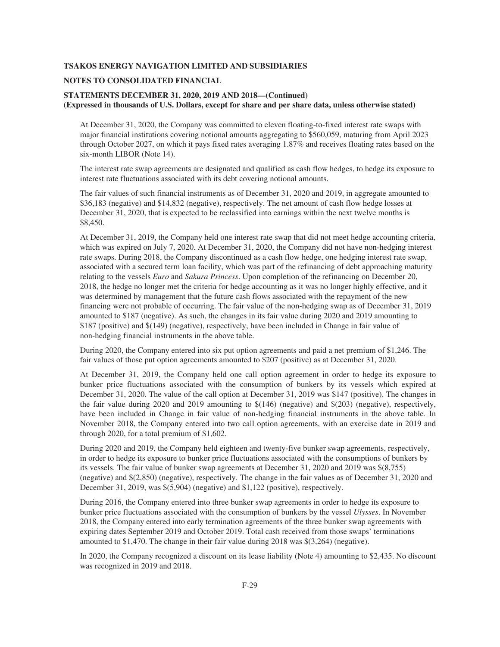### **NOTES TO CONSOLIDATED FINANCIAL**

# **STATEMENTS DECEMBER 31, 2020, 2019 AND 2018—(Continued) (Expressed in thousands of U.S. Dollars, except for share and per share data, unless otherwise stated)**

At December 31, 2020, the Company was committed to eleven floating-to-fixed interest rate swaps with major financial institutions covering notional amounts aggregating to \$560,059, maturing from April 2023 through October 2027, on which it pays fixed rates averaging 1.87% and receives floating rates based on the six-month LIBOR (Note 14).

The interest rate swap agreements are designated and qualified as cash flow hedges, to hedge its exposure to interest rate fluctuations associated with its debt covering notional amounts.

The fair values of such financial instruments as of December 31, 2020 and 2019, in aggregate amounted to \$36,183 (negative) and \$14,832 (negative), respectively. The net amount of cash flow hedge losses at December 31, 2020, that is expected to be reclassified into earnings within the next twelve months is \$8,450.

At December 31, 2019, the Company held one interest rate swap that did not meet hedge accounting criteria, which was expired on July 7, 2020. At December 31, 2020, the Company did not have non-hedging interest rate swaps. During 2018, the Company discontinued as a cash flow hedge, one hedging interest rate swap, associated with a secured term loan facility, which was part of the refinancing of debt approaching maturity relating to the vessels *Euro* and *Sakura Princess*. Upon completion of the refinancing on December 20, 2018, the hedge no longer met the criteria for hedge accounting as it was no longer highly effective, and it was determined by management that the future cash flows associated with the repayment of the new financing were not probable of occurring. The fair value of the non-hedging swap as of December 31, 2019 amounted to \$187 (negative). As such, the changes in its fair value during 2020 and 2019 amounting to \$187 (positive) and \$(149) (negative), respectively, have been included in Change in fair value of non-hedging financial instruments in the above table.

During 2020, the Company entered into six put option agreements and paid a net premium of \$1,246. The fair values of those put option agreements amounted to \$207 (positive) as at December 31, 2020.

At December 31, 2019, the Company held one call option agreement in order to hedge its exposure to bunker price fluctuations associated with the consumption of bunkers by its vessels which expired at December 31, 2020. The value of the call option at December 31, 2019 was \$147 (positive). The changes in the fair value during 2020 and 2019 amounting to \$(146) (negative) and \$(203) (negative), respectively, have been included in Change in fair value of non-hedging financial instruments in the above table. In November 2018, the Company entered into two call option agreements, with an exercise date in 2019 and through 2020, for a total premium of \$1,602.

During 2020 and 2019, the Company held eighteen and twenty-five bunker swap agreements, respectively, in order to hedge its exposure to bunker price fluctuations associated with the consumptions of bunkers by its vessels. The fair value of bunker swap agreements at December 31, 2020 and 2019 was \$(8,755) (negative) and \$(2,850) (negative), respectively. The change in the fair values as of December 31, 2020 and December 31, 2019, was \$(5,904) (negative) and \$1,122 (positive), respectively.

During 2016, the Company entered into three bunker swap agreements in order to hedge its exposure to bunker price fluctuations associated with the consumption of bunkers by the vessel *Ulysses*. In November 2018, the Company entered into early termination agreements of the three bunker swap agreements with expiring dates September 2019 and October 2019. Total cash received from those swaps' terminations amounted to \$1,470. The change in their fair value during 2018 was \$(3,264) (negative).

In 2020, the Company recognized a discount on its lease liability (Note 4) amounting to \$2,435. No discount was recognized in 2019 and 2018.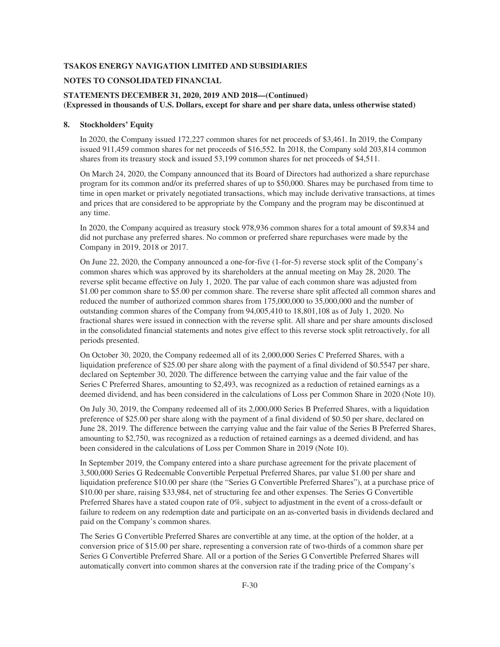### **NOTES TO CONSOLIDATED FINANCIAL**

# **STATEMENTS DECEMBER 31, 2020, 2019 AND 2018—(Continued) (Expressed in thousands of U.S. Dollars, except for share and per share data, unless otherwise stated)**

#### **8. Stockholders' Equity**

In 2020, the Company issued 172,227 common shares for net proceeds of \$3,461. In 2019, the Company issued 911,459 common shares for net proceeds of \$16,552. In 2018, the Company sold 203,814 common shares from its treasury stock and issued 53,199 common shares for net proceeds of \$4,511.

On March 24, 2020, the Company announced that its Board of Directors had authorized a share repurchase program for its common and/or its preferred shares of up to \$50,000. Shares may be purchased from time to time in open market or privately negotiated transactions, which may include derivative transactions, at times and prices that are considered to be appropriate by the Company and the program may be discontinued at any time.

In 2020, the Company acquired as treasury stock 978,936 common shares for a total amount of \$9,834 and did not purchase any preferred shares. No common or preferred share repurchases were made by the Company in 2019, 2018 or 2017.

On June 22, 2020, the Company announced a one-for-five (1-for-5) reverse stock split of the Company's common shares which was approved by its shareholders at the annual meeting on May 28, 2020. The reverse split became effective on July 1, 2020. The par value of each common share was adjusted from \$1.00 per common share to \$5.00 per common share. The reverse share split affected all common shares and reduced the number of authorized common shares from 175,000,000 to 35,000,000 and the number of outstanding common shares of the Company from 94,005,410 to 18,801,108 as of July 1, 2020. No fractional shares were issued in connection with the reverse split. All share and per share amounts disclosed in the consolidated financial statements and notes give effect to this reverse stock split retroactively, for all periods presented.

On October 30, 2020, the Company redeemed all of its 2,000,000 Series C Preferred Shares, with a liquidation preference of \$25.00 per share along with the payment of a final dividend of \$0.5547 per share, declared on September 30, 2020. The difference between the carrying value and the fair value of the Series C Preferred Shares, amounting to \$2,493, was recognized as a reduction of retained earnings as a deemed dividend, and has been considered in the calculations of Loss per Common Share in 2020 (Note 10).

On July 30, 2019, the Company redeemed all of its 2,000,000 Series B Preferred Shares, with a liquidation preference of \$25.00 per share along with the payment of a final dividend of \$0.50 per share, declared on June 28, 2019. The difference between the carrying value and the fair value of the Series B Preferred Shares, amounting to \$2,750, was recognized as a reduction of retained earnings as a deemed dividend, and has been considered in the calculations of Loss per Common Share in 2019 (Note 10).

In September 2019, the Company entered into a share purchase agreement for the private placement of 3,500,000 Series G Redeemable Convertible Perpetual Preferred Shares, par value \$1.00 per share and liquidation preference \$10.00 per share (the "Series G Convertible Preferred Shares"), at a purchase price of \$10.00 per share, raising \$33,984, net of structuring fee and other expenses. The Series G Convertible Preferred Shares have a stated coupon rate of 0%, subject to adjustment in the event of a cross-default or failure to redeem on any redemption date and participate on an as-converted basis in dividends declared and paid on the Company's common shares.

The Series G Convertible Preferred Shares are convertible at any time, at the option of the holder, at a conversion price of \$15.00 per share, representing a conversion rate of two-thirds of a common share per Series G Convertible Preferred Share. All or a portion of the Series G Convertible Preferred Shares will automatically convert into common shares at the conversion rate if the trading price of the Company's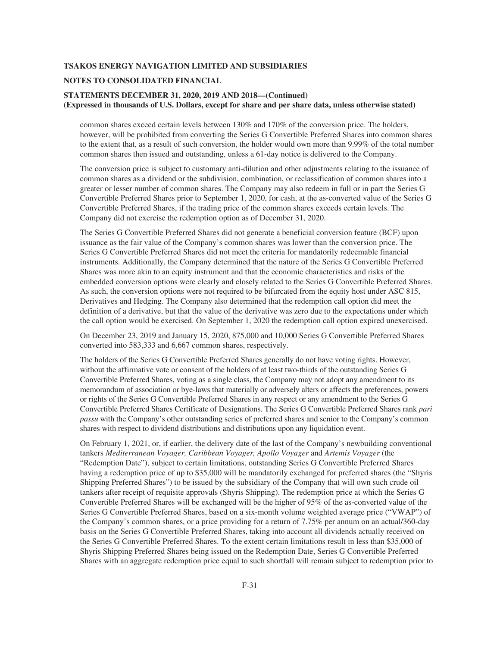### **NOTES TO CONSOLIDATED FINANCIAL**

#### **STATEMENTS DECEMBER 31, 2020, 2019 AND 2018—(Continued) (Expressed in thousands of U.S. Dollars, except for share and per share data, unless otherwise stated)**

common shares exceed certain levels between 130% and 170% of the conversion price. The holders, however, will be prohibited from converting the Series G Convertible Preferred Shares into common shares to the extent that, as a result of such conversion, the holder would own more than 9.99% of the total number common shares then issued and outstanding, unless a 61-day notice is delivered to the Company.

The conversion price is subject to customary anti-dilution and other adjustments relating to the issuance of common shares as a dividend or the subdivision, combination, or reclassification of common shares into a greater or lesser number of common shares. The Company may also redeem in full or in part the Series G Convertible Preferred Shares prior to September 1, 2020, for cash, at the as-converted value of the Series G Convertible Preferred Shares, if the trading price of the common shares exceeds certain levels. The Company did not exercise the redemption option as of December 31, 2020.

The Series G Convertible Preferred Shares did not generate a beneficial conversion feature (BCF) upon issuance as the fair value of the Company's common shares was lower than the conversion price. The Series G Convertible Preferred Shares did not meet the criteria for mandatorily redeemable financial instruments. Additionally, the Company determined that the nature of the Series G Convertible Preferred Shares was more akin to an equity instrument and that the economic characteristics and risks of the embedded conversion options were clearly and closely related to the Series G Convertible Preferred Shares. As such, the conversion options were not required to be bifurcated from the equity host under ASC 815, Derivatives and Hedging. The Company also determined that the redemption call option did meet the definition of a derivative, but that the value of the derivative was zero due to the expectations under which the call option would be exercised. On September 1, 2020 the redemption call option expired unexercised.

On December 23, 2019 and January 15, 2020, 875,000 and 10,000 Series G Convertible Preferred Shares converted into 583,333 and 6,667 common shares, respectively.

The holders of the Series G Convertible Preferred Shares generally do not have voting rights. However, without the affirmative vote or consent of the holders of at least two-thirds of the outstanding Series G Convertible Preferred Shares, voting as a single class, the Company may not adopt any amendment to its memorandum of association or bye-laws that materially or adversely alters or affects the preferences, powers or rights of the Series G Convertible Preferred Shares in any respect or any amendment to the Series G Convertible Preferred Shares Certificate of Designations. The Series G Convertible Preferred Shares rank *pari passu* with the Company's other outstanding series of preferred shares and senior to the Company's common shares with respect to dividend distributions and distributions upon any liquidation event.

On February 1, 2021, or, if earlier, the delivery date of the last of the Company's newbuilding conventional tankers *Mediterranean Voyager, Caribbean Voyager, Apollo Voyager* and *Artemis Voyager* (the "Redemption Date"), subject to certain limitations, outstanding Series G Convertible Preferred Shares having a redemption price of up to \$35,000 will be mandatorily exchanged for preferred shares (the "Shyris Shipping Preferred Shares") to be issued by the subsidiary of the Company that will own such crude oil tankers after receipt of requisite approvals (Shyris Shipping). The redemption price at which the Series G Convertible Preferred Shares will be exchanged will be the higher of 95% of the as-converted value of the Series G Convertible Preferred Shares, based on a six-month volume weighted average price ("VWAP") of the Company's common shares, or a price providing for a return of 7.75% per annum on an actual/360-day basis on the Series G Convertible Preferred Shares, taking into account all dividends actually received on the Series G Convertible Preferred Shares. To the extent certain limitations result in less than \$35,000 of Shyris Shipping Preferred Shares being issued on the Redemption Date, Series G Convertible Preferred Shares with an aggregate redemption price equal to such shortfall will remain subject to redemption prior to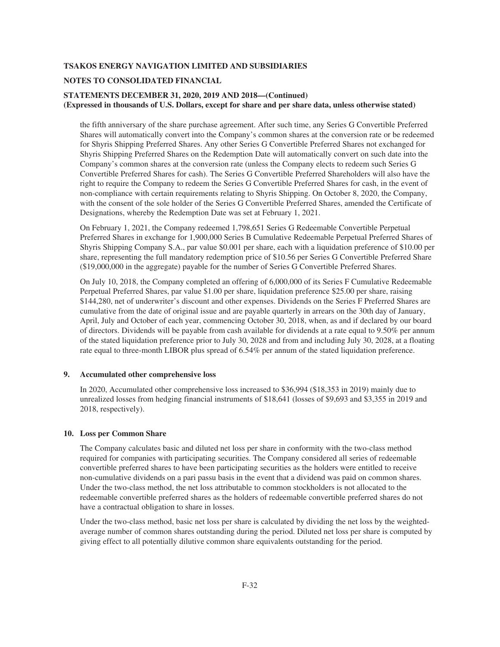### **NOTES TO CONSOLIDATED FINANCIAL**

### **STATEMENTS DECEMBER 31, 2020, 2019 AND 2018—(Continued) (Expressed in thousands of U.S. Dollars, except for share and per share data, unless otherwise stated)**

the fifth anniversary of the share purchase agreement. After such time, any Series G Convertible Preferred Shares will automatically convert into the Company's common shares at the conversion rate or be redeemed for Shyris Shipping Preferred Shares. Any other Series G Convertible Preferred Shares not exchanged for Shyris Shipping Preferred Shares on the Redemption Date will automatically convert on such date into the Company's common shares at the conversion rate (unless the Company elects to redeem such Series G Convertible Preferred Shares for cash). The Series G Convertible Preferred Shareholders will also have the right to require the Company to redeem the Series G Convertible Preferred Shares for cash, in the event of non-compliance with certain requirements relating to Shyris Shipping. On October 8, 2020, the Company, with the consent of the sole holder of the Series G Convertible Preferred Shares, amended the Certificate of Designations, whereby the Redemption Date was set at February 1, 2021.

On February 1, 2021, the Company redeemed 1,798,651 Series G Redeemable Convertible Perpetual Preferred Shares in exchange for 1,900,000 Series B Cumulative Redeemable Perpetual Preferred Shares of Shyris Shipping Company S.A., par value \$0.001 per share, each with a liquidation preference of \$10.00 per share, representing the full mandatory redemption price of \$10.56 per Series G Convertible Preferred Share (\$19,000,000 in the aggregate) payable for the number of Series G Convertible Preferred Shares.

On July 10, 2018, the Company completed an offering of 6,000,000 of its Series F Cumulative Redeemable Perpetual Preferred Shares, par value \$1.00 per share, liquidation preference \$25.00 per share, raising \$144,280, net of underwriter's discount and other expenses. Dividends on the Series F Preferred Shares are cumulative from the date of original issue and are payable quarterly in arrears on the 30th day of January, April, July and October of each year, commencing October 30, 2018, when, as and if declared by our board of directors. Dividends will be payable from cash available for dividends at a rate equal to 9.50% per annum of the stated liquidation preference prior to July 30, 2028 and from and including July 30, 2028, at a floating rate equal to three-month LIBOR plus spread of 6.54% per annum of the stated liquidation preference.

#### **9. Accumulated other comprehensive loss**

In 2020, Accumulated other comprehensive loss increased to \$36,994 (\$18,353 in 2019) mainly due to unrealized losses from hedging financial instruments of \$18,641 (losses of \$9,693 and \$3,355 in 2019 and 2018, respectively).

#### **10. Loss per Common Share**

The Company calculates basic and diluted net loss per share in conformity with the two-class method required for companies with participating securities. The Company considered all series of redeemable convertible preferred shares to have been participating securities as the holders were entitled to receive non-cumulative dividends on a pari passu basis in the event that a dividend was paid on common shares. Under the two-class method, the net loss attributable to common stockholders is not allocated to the redeemable convertible preferred shares as the holders of redeemable convertible preferred shares do not have a contractual obligation to share in losses.

Under the two-class method, basic net loss per share is calculated by dividing the net loss by the weightedaverage number of common shares outstanding during the period. Diluted net loss per share is computed by giving effect to all potentially dilutive common share equivalents outstanding for the period.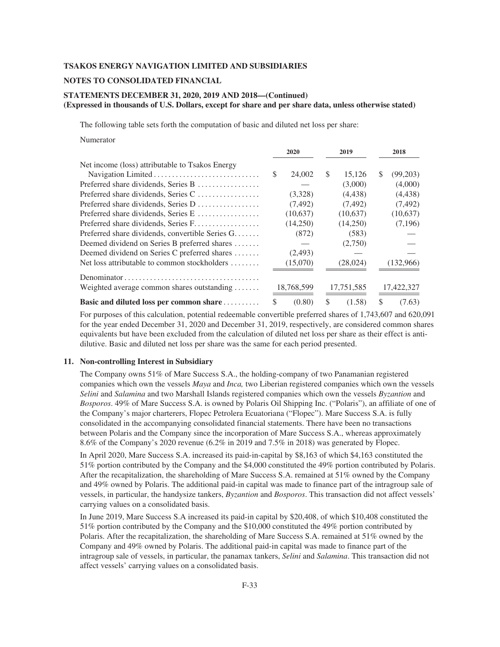### **NOTES TO CONSOLIDATED FINANCIAL**

#### **STATEMENTS DECEMBER 31, 2020, 2019 AND 2018—(Continued) (Expressed in thousands of U.S. Dollars, except for share and per share data, unless otherwise stated)**

The following table sets forth the computation of basic and diluted net loss per share:

#### Numerator

|                                                         |   | 2020       |    | 2019       |     | 2018       |
|---------------------------------------------------------|---|------------|----|------------|-----|------------|
| Net income (loss) attributable to Tsakos Energy         |   |            |    |            |     |            |
|                                                         | S | 24,002     | \$ | 15,126     | \$. | (99,203)   |
| Preferred share dividends, Series B                     |   |            |    | (3,000)    |     | (4,000)    |
| Preferred share dividends, Series C                     |   | (3,328)    |    | (4, 438)   |     | (4,438)    |
| Preferred share dividends, Series D                     |   | (7, 492)   |    | (7, 492)   |     | (7, 492)   |
| Preferred share dividends, Series E                     |   | (10,637)   |    | (10,637)   |     | (10,637)   |
|                                                         |   | (14,250)   |    | (14,250)   |     | (7,196)    |
| Preferred share dividends, convertible Series G         |   | (872)      |    | (583)      |     |            |
| Deemed dividend on Series B preferred shares            |   |            |    | (2,750)    |     |            |
| Deemed dividend on Series C preferred shares            |   | (2, 493)   |    |            |     |            |
| Net loss attributable to common stockholders            |   | (15,070)   |    | (28,024)   |     | (132,966)  |
|                                                         |   |            |    |            |     |            |
| Weighted average common shares outstanding $\dots\dots$ |   | 18,768,599 |    | 17,751,585 |     | 17,422,327 |
| Basic and diluted loss per common share                 |   | (0.80)     | S  | (1.58)     | \$  | (7.63)     |

For purposes of this calculation, potential redeemable convertible preferred shares of 1,743,607 and 620,091 for the year ended December 31, 2020 and December 31, 2019, respectively, are considered common shares equivalents but have been excluded from the calculation of diluted net loss per share as their effect is antidilutive. Basic and diluted net loss per share was the same for each period presented.

#### **11. Non-controlling Interest in Subsidiary**

The Company owns 51% of Mare Success S.A., the holding-company of two Panamanian registered companies which own the vessels *Maya* and *Inca,* two Liberian registered companies which own the vessels *Selini* and *Salamina* and two Marshall Islands registered companies which own the vessels *Byzantion* and *Bosporos*. 49% of Mare Success S.A. is owned by Polaris Oil Shipping Inc. ("Polaris"), an affiliate of one of the Company's major charterers, Flopec Petrolera Ecuatoriana ("Flopec"). Mare Success S.A. is fully consolidated in the accompanying consolidated financial statements. There have been no transactions between Polaris and the Company since the incorporation of Mare Success S.A., whereas approximately 8.6% of the Company's 2020 revenue (6.2% in 2019 and 7.5% in 2018) was generated by Flopec.

In April 2020, Mare Success S.A. increased its paid-in-capital by \$8,163 of which \$4,163 constituted the 51% portion contributed by the Company and the \$4,000 constituted the 49% portion contributed by Polaris. After the recapitalization, the shareholding of Mare Success S.A. remained at 51% owned by the Company and 49% owned by Polaris. The additional paid-in capital was made to finance part of the intragroup sale of vessels, in particular, the handysize tankers, *Byzantion* and *Bosporos*. This transaction did not affect vessels' carrying values on a consolidated basis.

In June 2019, Mare Success S.A increased its paid-in capital by \$20,408, of which \$10,408 constituted the 51% portion contributed by the Company and the \$10,000 constituted the 49% portion contributed by Polaris. After the recapitalization, the shareholding of Mare Success S.A. remained at 51% owned by the Company and 49% owned by Polaris. The additional paid-in capital was made to finance part of the intragroup sale of vessels, in particular, the panamax tankers, *Selini* and *Salamina*. This transaction did not affect vessels' carrying values on a consolidated basis.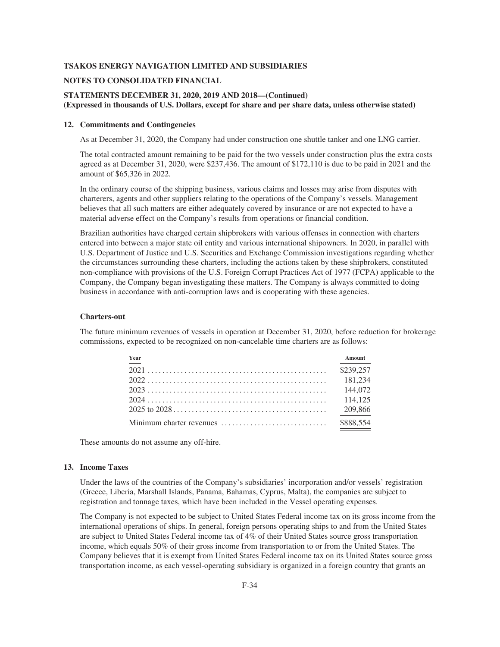### **NOTES TO CONSOLIDATED FINANCIAL**

# **STATEMENTS DECEMBER 31, 2020, 2019 AND 2018—(Continued) (Expressed in thousands of U.S. Dollars, except for share and per share data, unless otherwise stated)**

#### **12. Commitments and Contingencies**

As at December 31, 2020, the Company had under construction one shuttle tanker and one LNG carrier.

The total contracted amount remaining to be paid for the two vessels under construction plus the extra costs agreed as at December 31, 2020, were \$237,436. The amount of \$172,110 is due to be paid in 2021 and the amount of \$65,326 in 2022.

In the ordinary course of the shipping business, various claims and losses may arise from disputes with charterers, agents and other suppliers relating to the operations of the Company's vessels. Management believes that all such matters are either adequately covered by insurance or are not expected to have a material adverse effect on the Company's results from operations or financial condition.

Brazilian authorities have charged certain shipbrokers with various offenses in connection with charters entered into between a major state oil entity and various international shipowners. In 2020, in parallel with U.S. Department of Justice and U.S. Securities and Exchange Commission investigations regarding whether the circumstances surrounding these charters, including the actions taken by these shipbrokers, constituted non-compliance with provisions of the U.S. Foreign Corrupt Practices Act of 1977 (FCPA) applicable to the Company, the Company began investigating these matters. The Company is always committed to doing business in accordance with anti-corruption laws and is cooperating with these agencies.

#### **Charters-out**

The future minimum revenues of vessels in operation at December 31, 2020, before reduction for brokerage commissions, expected to be recognized on non-cancelable time charters are as follows:

| Year | Amount  |
|------|---------|
|      |         |
|      |         |
|      | 144,072 |
|      |         |
|      |         |
|      |         |

These amounts do not assume any off-hire.

### **13. Income Taxes**

Under the laws of the countries of the Company's subsidiaries' incorporation and/or vessels' registration (Greece, Liberia, Marshall Islands, Panama, Bahamas, Cyprus, Malta), the companies are subject to registration and tonnage taxes, which have been included in the Vessel operating expenses.

The Company is not expected to be subject to United States Federal income tax on its gross income from the international operations of ships. In general, foreign persons operating ships to and from the United States are subject to United States Federal income tax of 4% of their United States source gross transportation income, which equals 50% of their gross income from transportation to or from the United States. The Company believes that it is exempt from United States Federal income tax on its United States source gross transportation income, as each vessel-operating subsidiary is organized in a foreign country that grants an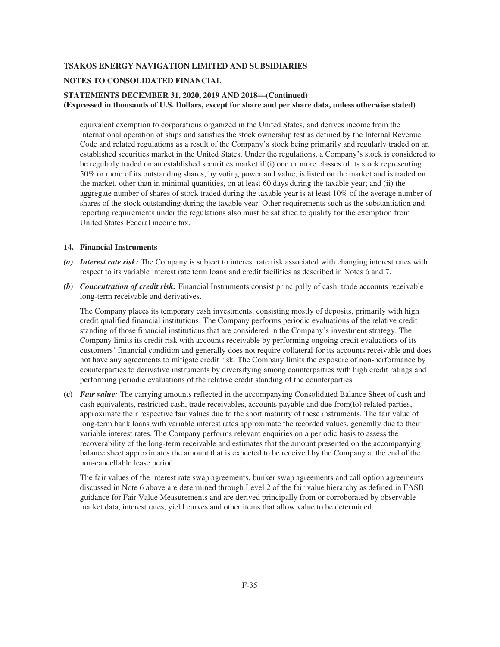### **NOTES TO CONSOLIDATED FINANCIAL**

#### **STATEMENTS DECEMBER 31, 2020, 2019 AND 2018—(Continued) (Expressed in thousands of U.S. Dollars, except for share and per share data, unless otherwise stated)**

equivalent exemption to corporations organized in the United States, and derives income from the international operation of ships and satisfies the stock ownership test as defined by the Internal Revenue Code and related regulations as a result of the Company's stock being primarily and regularly traded on an established securities market in the United States. Under the regulations, a Company's stock is considered to be regularly traded on an established securities market if (i) one or more classes of its stock representing 50% or more of its outstanding shares, by voting power and value, is listed on the market and is traded on the market, other than in minimal quantities, on at least 60 days during the taxable year; and (ii) the aggregate number of shares of stock traded during the taxable year is at least 10% of the average number of shares of the stock outstanding during the taxable year. Other requirements such as the substantiation and reporting requirements under the regulations also must be satisfied to qualify for the exemption from United States Federal income tax.

#### **14. Financial Instruments**

- *(a) Interest rate risk:* The Company is subject to interest rate risk associated with changing interest rates with respect to its variable interest rate term loans and credit facilities as described in Notes 6 and 7.
- *(b) Concentration of credit risk:* Financial Instruments consist principally of cash, trade accounts receivable long-term receivable and derivatives.

The Company places its temporary cash investments, consisting mostly of deposits, primarily with high credit qualified financial institutions. The Company performs periodic evaluations of the relative credit standing of those financial institutions that are considered in the Company's investment strategy. The Company limits its credit risk with accounts receivable by performing ongoing credit evaluations of its customers' financial condition and generally does not require collateral for its accounts receivable and does not have any agreements to mitigate credit risk. The Company limits the exposure of non-performance by counterparties to derivative instruments by diversifying among counterparties with high credit ratings and performing periodic evaluations of the relative credit standing of the counterparties.

**(c)** *Fair value:* The carrying amounts reflected in the accompanying Consolidated Balance Sheet of cash and cash equivalents, restricted cash, trade receivables, accounts payable and due from(to) related parties, approximate their respective fair values due to the short maturity of these instruments. The fair value of long-term bank loans with variable interest rates approximate the recorded values, generally due to their variable interest rates. The Company performs relevant enquiries on a periodic basis to assess the recoverability of the long-term receivable and estimates that the amount presented on the accompanying balance sheet approximates the amount that is expected to be received by the Company at the end of the non-cancellable lease period.

The fair values of the interest rate swap agreements, bunker swap agreements and call option agreements discussed in Note 6 above are determined through Level 2 of the fair value hierarchy as defined in FASB guidance for Fair Value Measurements and are derived principally from or corroborated by observable market data, interest rates, yield curves and other items that allow value to be determined.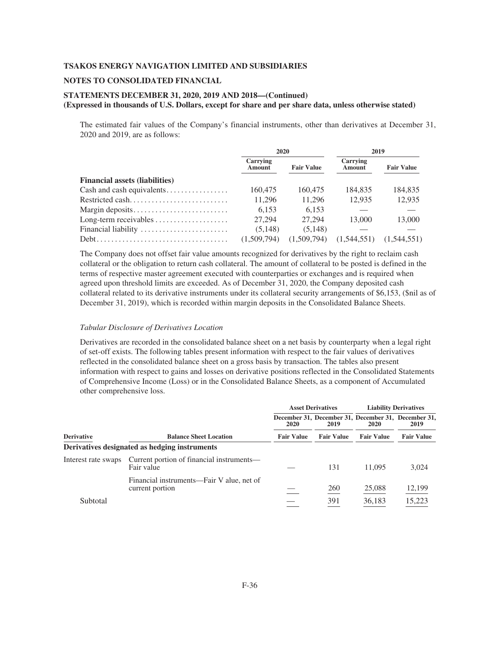### **NOTES TO CONSOLIDATED FINANCIAL**

### **STATEMENTS DECEMBER 31, 2020, 2019 AND 2018—(Continued) (Expressed in thousands of U.S. Dollars, except for share and per share data, unless otherwise stated)**

The estimated fair values of the Company's financial instruments, other than derivatives at December 31, 2020 and 2019, are as follows:

|                                       | 2020                      |                   | 2019               |                   |
|---------------------------------------|---------------------------|-------------------|--------------------|-------------------|
|                                       | Carrying<br><b>Amount</b> | <b>Fair Value</b> | Carrying<br>Amount | <b>Fair Value</b> |
| <b>Financial assets (liabilities)</b> |                           |                   |                    |                   |
|                                       | 160,475                   | 160,475           | 184,835            | 184,835           |
| Restricted cash                       | 11,296                    | 11.296            | 12.935             | 12,935            |
|                                       | 6.153                     | 6.153             |                    |                   |
| Long-term receivables                 | 27,294                    | 27,294            | 13,000             | 13,000            |
| Financial liability                   | (5,148)                   | (5.148)           |                    |                   |
|                                       | (1,509,794)               | (1,509,794)       | (1,544,551)        | (1,544,551)       |

The Company does not offset fair value amounts recognized for derivatives by the right to reclaim cash collateral or the obligation to return cash collateral. The amount of collateral to be posted is defined in the terms of respective master agreement executed with counterparties or exchanges and is required when agreed upon threshold limits are exceeded. As of December 31, 2020, the Company deposited cash collateral related to its derivative instruments under its collateral security arrangements of \$6,153, (\$nil as of December 31, 2019), which is recorded within margin deposits in the Consolidated Balance Sheets.

#### *Tabular Disclosure of Derivatives Location*

Derivatives are recorded in the consolidated balance sheet on a net basis by counterparty when a legal right of set-off exists. The following tables present information with respect to the fair values of derivatives reflected in the consolidated balance sheet on a gross basis by transaction. The tables also present information with respect to gains and losses on derivative positions reflected in the Consolidated Statements of Comprehensive Income (Loss) or in the Consolidated Balance Sheets, as a component of Accumulated other comprehensive loss.

|                     |                                                              | <b>Asset Derivatives</b> |                   | <b>Liability Derivatives</b>                                |                   |
|---------------------|--------------------------------------------------------------|--------------------------|-------------------|-------------------------------------------------------------|-------------------|
|                     |                                                              | 2020                     | 2019              | December 31, December 31, December 31, December 31,<br>2020 | 2019              |
| <b>Derivative</b>   | <b>Fair Value</b><br><b>Balance Sheet Location</b>           |                          | <b>Fair Value</b> | <b>Fair Value</b>                                           | <b>Fair Value</b> |
|                     | Derivatives designated as hedging instruments                |                          |                   |                                                             |                   |
| Interest rate swaps | Current portion of financial instruments—<br>Fair value      |                          | 131               | 11.095                                                      | 3.024             |
|                     | Financial instruments—Fair V alue, net of<br>current portion |                          | 260               | 25,088                                                      | 12,199            |
| Subtotal            |                                                              |                          | 391               | 36,183                                                      | 15,223            |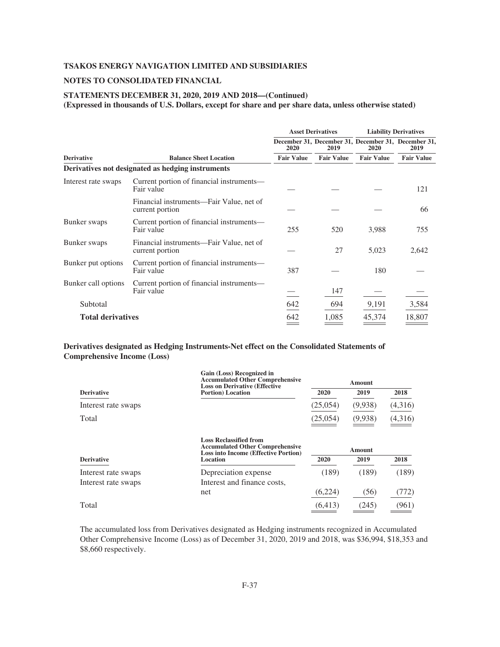# **NOTES TO CONSOLIDATED FINANCIAL**

#### **STATEMENTS DECEMBER 31, 2020, 2019 AND 2018—(Continued)**

### **(Expressed in thousands of U.S. Dollars, except for share and per share data, unless otherwise stated)**

|                          |                                                             | <b>Asset Derivatives</b> |                   | <b>Liability Derivatives</b> |                                                             |  |
|--------------------------|-------------------------------------------------------------|--------------------------|-------------------|------------------------------|-------------------------------------------------------------|--|
|                          |                                                             | 2020                     | 2019              | 2020                         | December 31, December 31, December 31, December 31,<br>2019 |  |
| <b>Derivative</b>        | <b>Balance Sheet Location</b>                               | <b>Fair Value</b>        | <b>Fair Value</b> | <b>Fair Value</b>            | <b>Fair Value</b>                                           |  |
|                          | Derivatives not designated as hedging instruments           |                          |                   |                              |                                                             |  |
| Interest rate swaps      | Current portion of financial instruments—<br>Fair value     |                          |                   |                              | 121                                                         |  |
|                          | Financial instruments—Fair Value, net of<br>current portion |                          |                   |                              | 66                                                          |  |
| Bunker swaps             | Current portion of financial instruments—<br>Fair value     | 255                      | 520               | 3,988                        | 755                                                         |  |
| Bunker swaps             | Financial instruments—Fair Value, net of<br>current portion |                          | 27                | 5,023                        | 2,642                                                       |  |
| Bunker put options       | Current portion of financial instruments—<br>Fair value     | 387                      |                   | 180                          |                                                             |  |
| Bunker call options      | Current portion of financial instruments—<br>Fair value     |                          | 147               |                              |                                                             |  |
| Subtotal                 |                                                             | 642                      | 694               | 9,191                        | 3,584                                                       |  |
| <b>Total derivatives</b> |                                                             | 642                      | 1,085             | 45,374                       | 18,807                                                      |  |

### **Derivatives designated as Hedging Instruments-Net effect on the Consolidated Statements of Comprehensive Income (Loss)**

|                                            | <b>Gain (Loss) Recognized in</b><br><b>Accumulated Other Comprehensive</b><br><b>Loss on Derivative (Effective</b>     | Amount   |               |         |  |
|--------------------------------------------|------------------------------------------------------------------------------------------------------------------------|----------|---------------|---------|--|
| <b>Derivative</b>                          | <b>Portion</b> ) Location                                                                                              | 2020     | 2019          | 2018    |  |
| Interest rate swaps                        |                                                                                                                        | (25,054) | (9,938)       | (4,316) |  |
| Total                                      |                                                                                                                        | (25,054) | (9,938)       | (4,316) |  |
|                                            | <b>Loss Reclassified from</b><br><b>Accumulated Other Comprehensive</b><br><b>Loss into Income (Effective Portion)</b> |          | <b>Amount</b> |         |  |
| <b>Derivative</b>                          | Location                                                                                                               | 2020     | 2019          | 2018    |  |
| Interest rate swaps<br>Interest rate swaps | Depreciation expense<br>Interest and finance costs,                                                                    | (189)    | (189)         | (189)   |  |
|                                            | net                                                                                                                    | (6,224)  | (56)          | (772)   |  |
| Total                                      |                                                                                                                        | (6, 413) | (245)         | (961)   |  |

The accumulated loss from Derivatives designated as Hedging instruments recognized in Accumulated Other Comprehensive Income (Loss) as of December 31, 2020, 2019 and 2018, was \$36,994, \$18,353 and \$8,660 respectively.